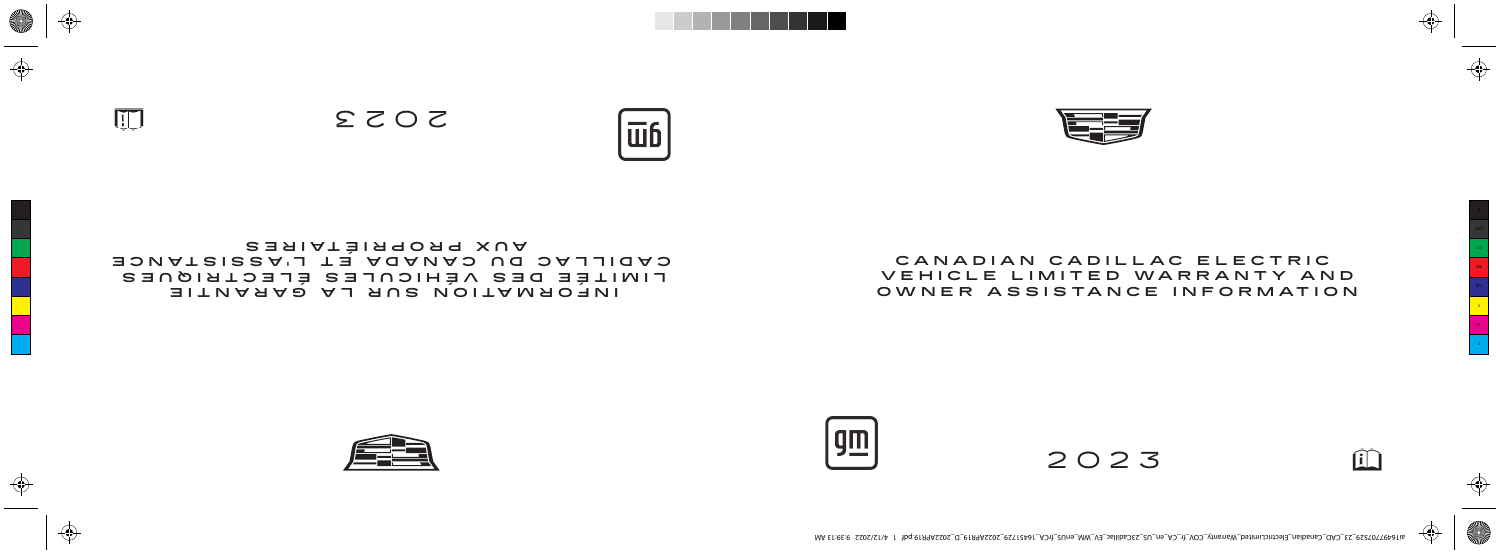

### **CANADIAN CADILLAC ELECTRIC VEH ICLE L IM ITED WARRANTY AND** OWNER ASSISTANCE INFORMATION



2023

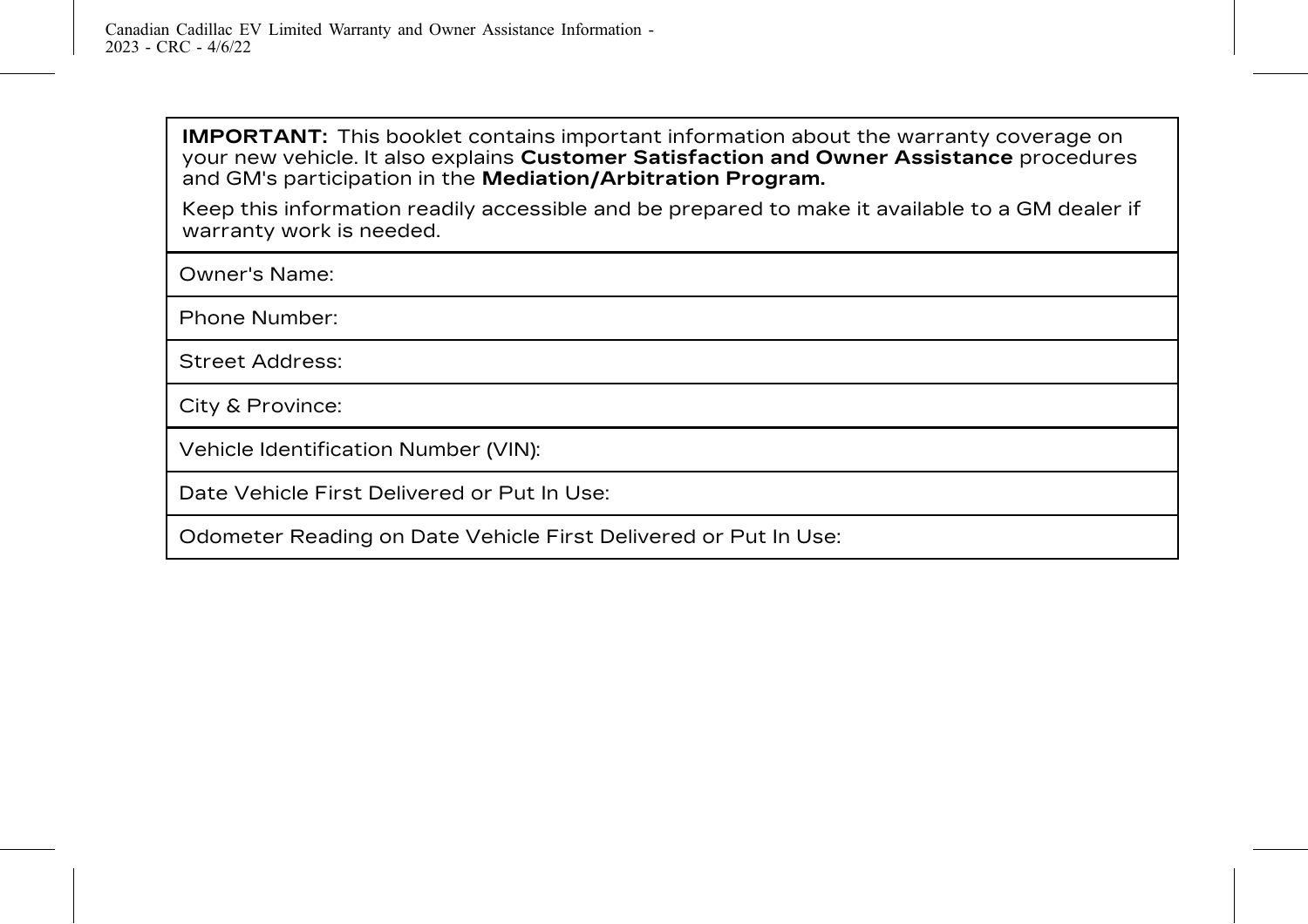**IMPORTANT:** This booklet contains important information about the warranty coverage on your new vehicle. It also explains **Customer Satisfaction and Owner Assistance** procedures and GM's participation in the **Mediation/Arbitration Program.**

Keep this information readily accessible and be prepared to make it available to a GM dealer if warranty work is needed.

Owner's Name:

Phone Number:

Street Address:

City & Province:

Vehicle Identification Number (VIN):

Date Vehicle First Delivered or Put In Use:

Odometer Reading on Date Vehicle First Delivered or Put In Use: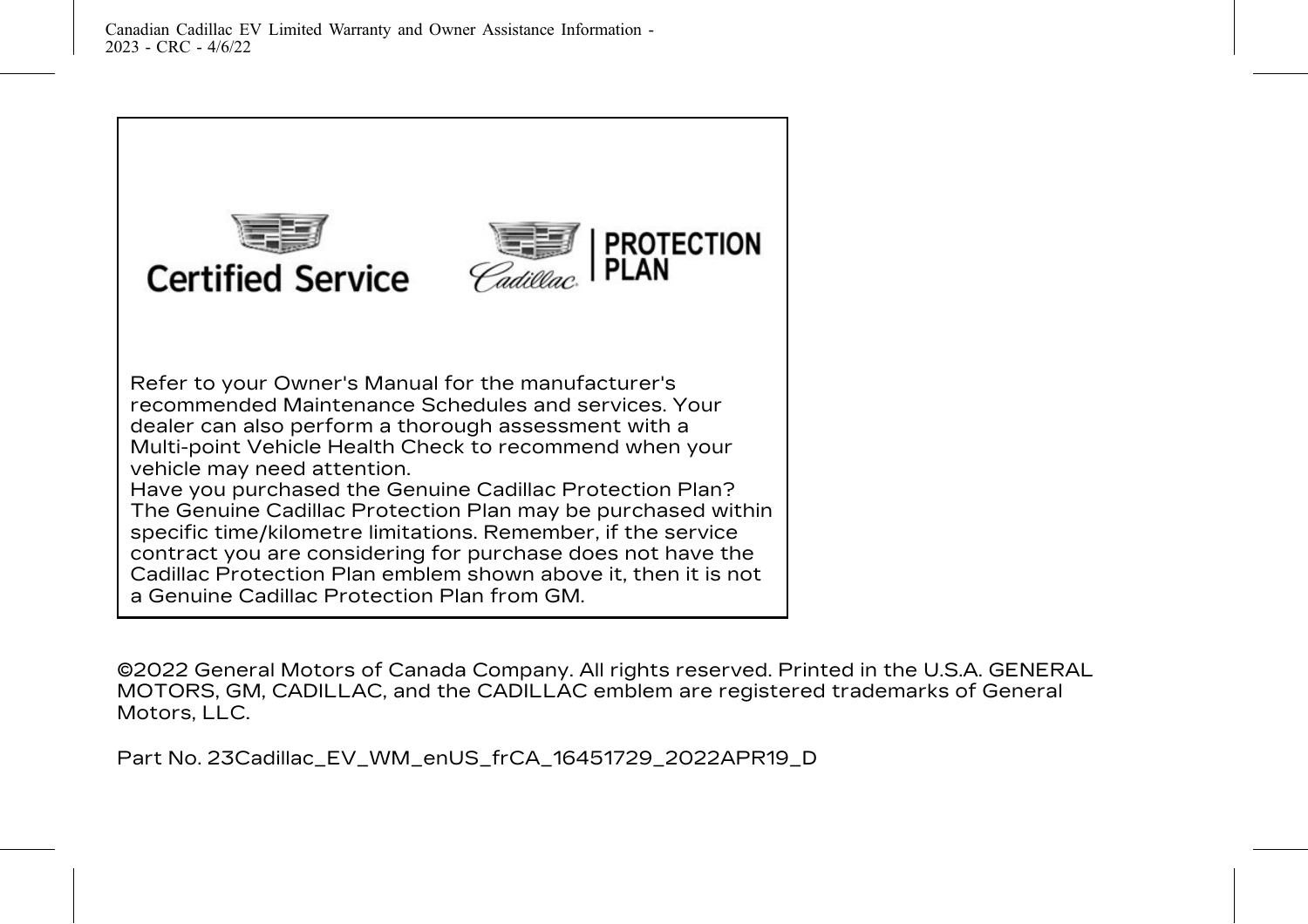

# **Certified Service**



Refer to your Owner's Manual for the manufacturer's recommended Maintenance Schedules and services. Your dealer can also perform a thorough assessment with a Multi-point Vehicle Health Check to recommend when your vehicle may need attention.

Have you purchased the Genuine Cadillac Protection Plan? The Genuine Cadillac Protection Plan may be purchased within specific time/kilometre limitations. Remember, if the service contract you are considering for purchase does not have the Cadillac Protection Plan emblem shown above it, then it is not a Genuine Cadillac Protection Plan from GM.

©2022 General Motors of Canada Company. All rights reserved. Printed in the U.S.A. GENERAL MOTORS, GM, CADILLAC, and the CADILLAC emblem are registered trademarks of General Motors, LLC.

Part No. 23Cadillac\_EV\_WM\_enUS\_frCA\_16451729\_2022APR19\_D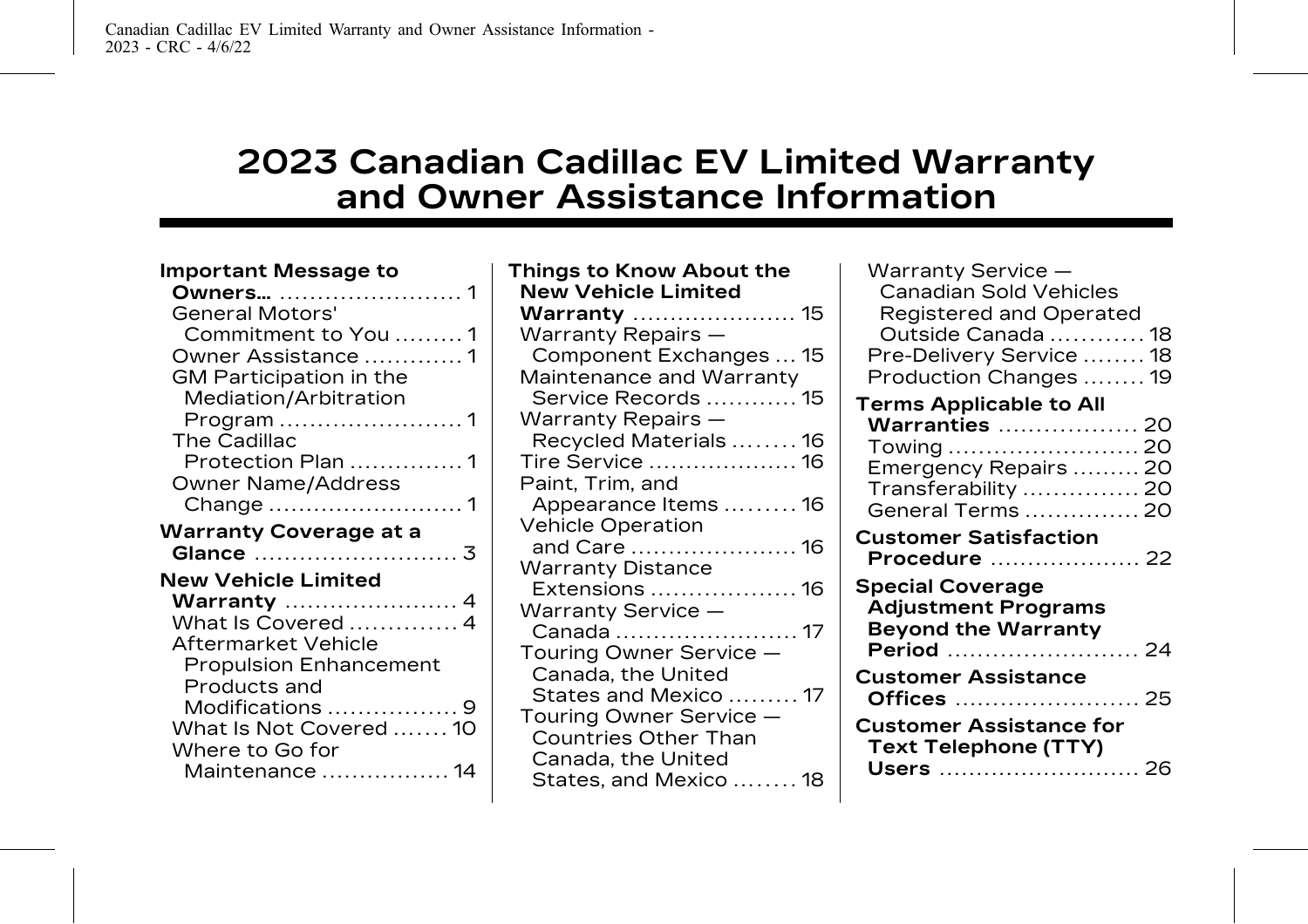# **2023 Canadian Cadillac EV Limited Warranty and Owner Assistance Information**

| <b>Important Message to</b><br>General Motors'<br>Commitment to You 1<br>Owner Assistance 1<br>GM Participation in the<br>Mediation/Arbitration<br>The Cadillac<br>Protection Plan 1<br>Owner Name/Address<br><b>Warranty Coverage at a</b><br><b>New Vehicle Limited</b><br><b>Warranty</b> 4<br>What Is Covered  4<br>Aftermarket Vehicle<br><b>Propulsion Enhancement</b><br>Products and<br>Modifications  9<br>What Is Not Covered  10 | Things to Know About the<br><b>New Vehicle Limited</b><br><b>Warranty</b> 15<br>Warranty Repairs -<br>Component Exchanges  15<br>Maintenance and Warranty<br>Service Records  15<br>Warranty Repairs -<br>Recycled Materials 16<br>Tire Service  16<br>Paint, Trim, and<br>Appearance Items  16<br>Vehicle Operation<br>and Care  16<br><b>Warranty Distance</b><br>Extensions  16<br>Warranty Service -<br>Touring Owner Service -<br>Canada, the United<br>States and Mexico 17<br>Touring Owner Service -<br><b>Countries Other Than</b> | Warranty Service -<br>Canadian Sold Vehicles<br>Registered and Operated<br>Outside Canada  18<br>Pre-Delivery Service  18<br>Production Changes  19<br><b>Terms Applicable to All</b><br><b>Warranties</b> 20<br>Towing  20<br>Emergency Repairs  20<br>Transferability  20<br>General Terms  20<br><b>Customer Satisfaction</b><br><b>Procedure</b> 22<br><b>Special Coverage</b><br><b>Adjustment Programs</b><br><b>Beyond the Warranty</b><br>Period<br>-24<br><b>Customer Assistance</b><br><b>Customer Assistance for</b> |
|---------------------------------------------------------------------------------------------------------------------------------------------------------------------------------------------------------------------------------------------------------------------------------------------------------------------------------------------------------------------------------------------------------------------------------------------|---------------------------------------------------------------------------------------------------------------------------------------------------------------------------------------------------------------------------------------------------------------------------------------------------------------------------------------------------------------------------------------------------------------------------------------------------------------------------------------------------------------------------------------------|---------------------------------------------------------------------------------------------------------------------------------------------------------------------------------------------------------------------------------------------------------------------------------------------------------------------------------------------------------------------------------------------------------------------------------------------------------------------------------------------------------------------------------|
| Where to Go for<br>Maintenance  14                                                                                                                                                                                                                                                                                                                                                                                                          | Canada, the United<br>States, and Mexico  18                                                                                                                                                                                                                                                                                                                                                                                                                                                                                                | <b>Text Telephone (TTY)</b><br>Users<br>-26                                                                                                                                                                                                                                                                                                                                                                                                                                                                                     |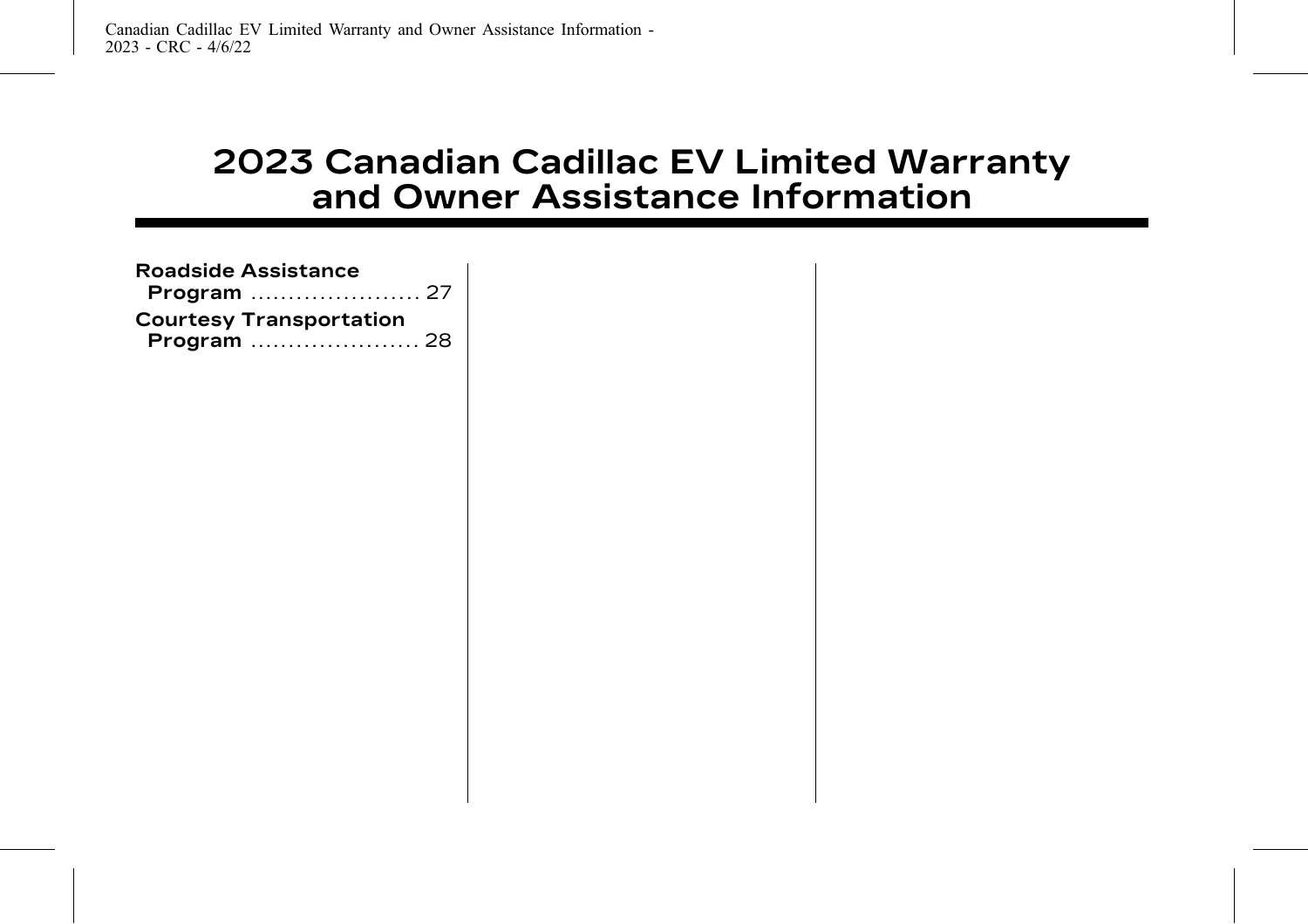# **2023 Canadian Cadillac EV Limited Warranty and Owner Assistance Information**

| <b>Roadside Assistance</b><br>Program  27     |  |
|-----------------------------------------------|--|
| <b>Courtesy Transportation</b><br>Program  28 |  |
|                                               |  |
|                                               |  |
|                                               |  |
|                                               |  |
|                                               |  |
|                                               |  |
|                                               |  |
|                                               |  |
|                                               |  |
|                                               |  |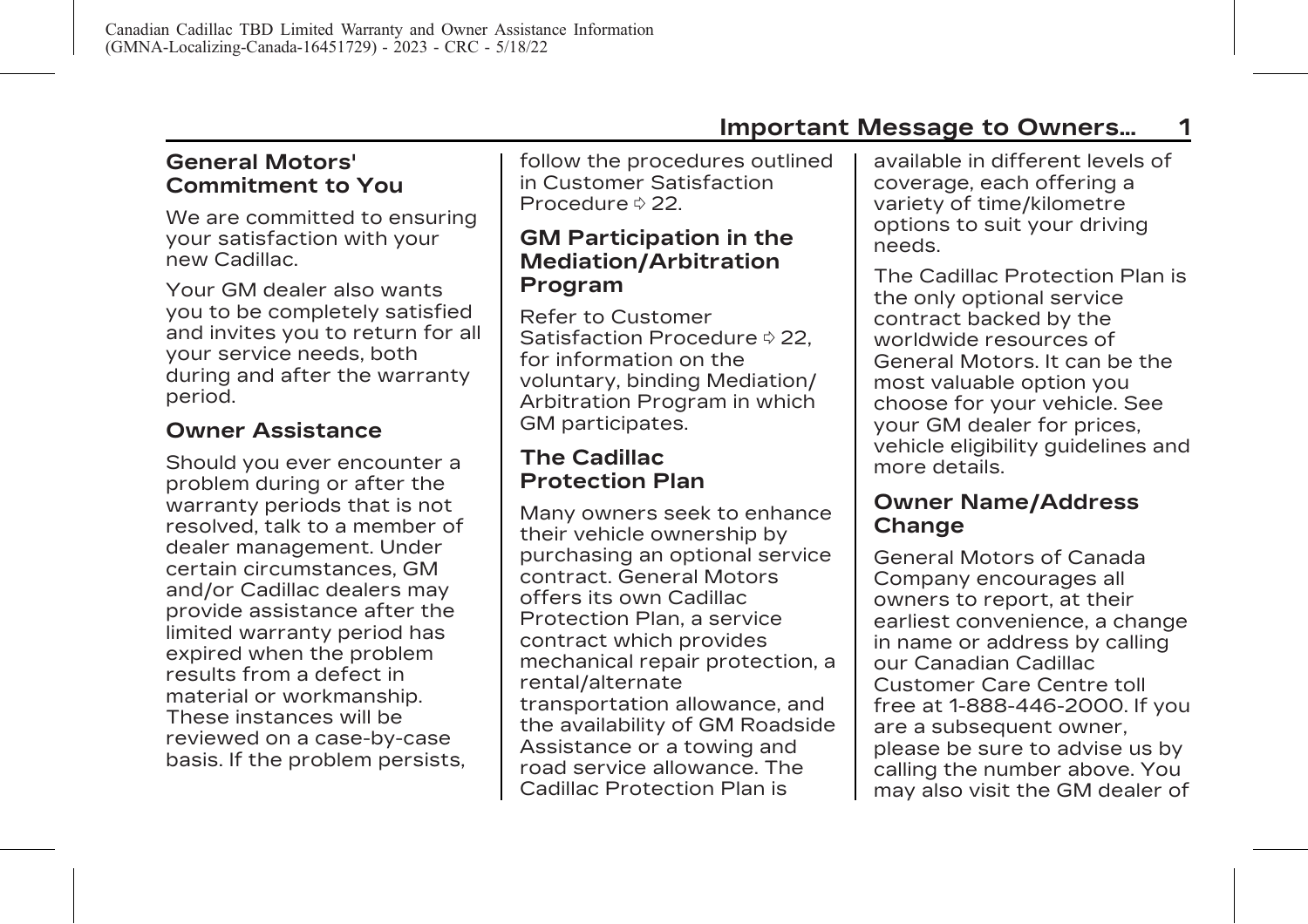<span id="page-5-0"></span>**General Motors' Commitment to You**

We are committed to ensuring your satisfaction with your new Cadillac.

Your GM dealer also wants you to be completely satisfied and invites you to return for all your service needs, both during and after the warranty period.

### **Owner Assistance**

Should you ever encounter a problem during or after the warranty periods that is not resolved, talk to a member of dealer management. Under certain circumstances, GM and/or Cadillac dealers may provide assistance after the limited warranty period has expired when the problem results from a defect in material or workmanship. These instances will be reviewed on a case-by-case basis. If the problem persists, follow the procedures outlined in [Customer Satisfaction](#page-26-0) [Procedure](#page-26-0)  $\Diamond$  22.

### **GM Participation in the Mediation/Arbitration Program**

Refer to [Customer](#page-26-0) [Satisfaction Procedure](#page-26-0)  $\Diamond$  22. for information on the voluntary, binding Mediation/ Arbitration Program in which GM participates.

### **The Cadillac Protection Plan**

Many owners seek to enhance their vehicle ownership by purchasing an optional service contract. General Motors offers its own Cadillac Protection Plan, a service contract which provides mechanical repair protection, a rental/alternate transportation allowance, and the availability of GM Roadside Assistance or a towing and road service allowance. The Cadillac Protection Plan is

available in different levels of coverage, each offering a variety of time/kilometre options to suit your driving needs.

The Cadillac Protection Plan is the only optional service contract backed by the worldwide resources of General Motors. It can be the most valuable option you choose for your vehicle. See your GM dealer for prices, vehicle eligibility guidelines and more details.

### **Owner Name/Address Change**

General Motors of Canada Company encourages all owners to report, at their earliest convenience, a change in name or address by calling our Canadian Cadillac Customer Care Centre toll free at 1-888-446-2000. If you are a subsequent owner, please be sure to advise us by calling the number above. You may also visit the GM dealer of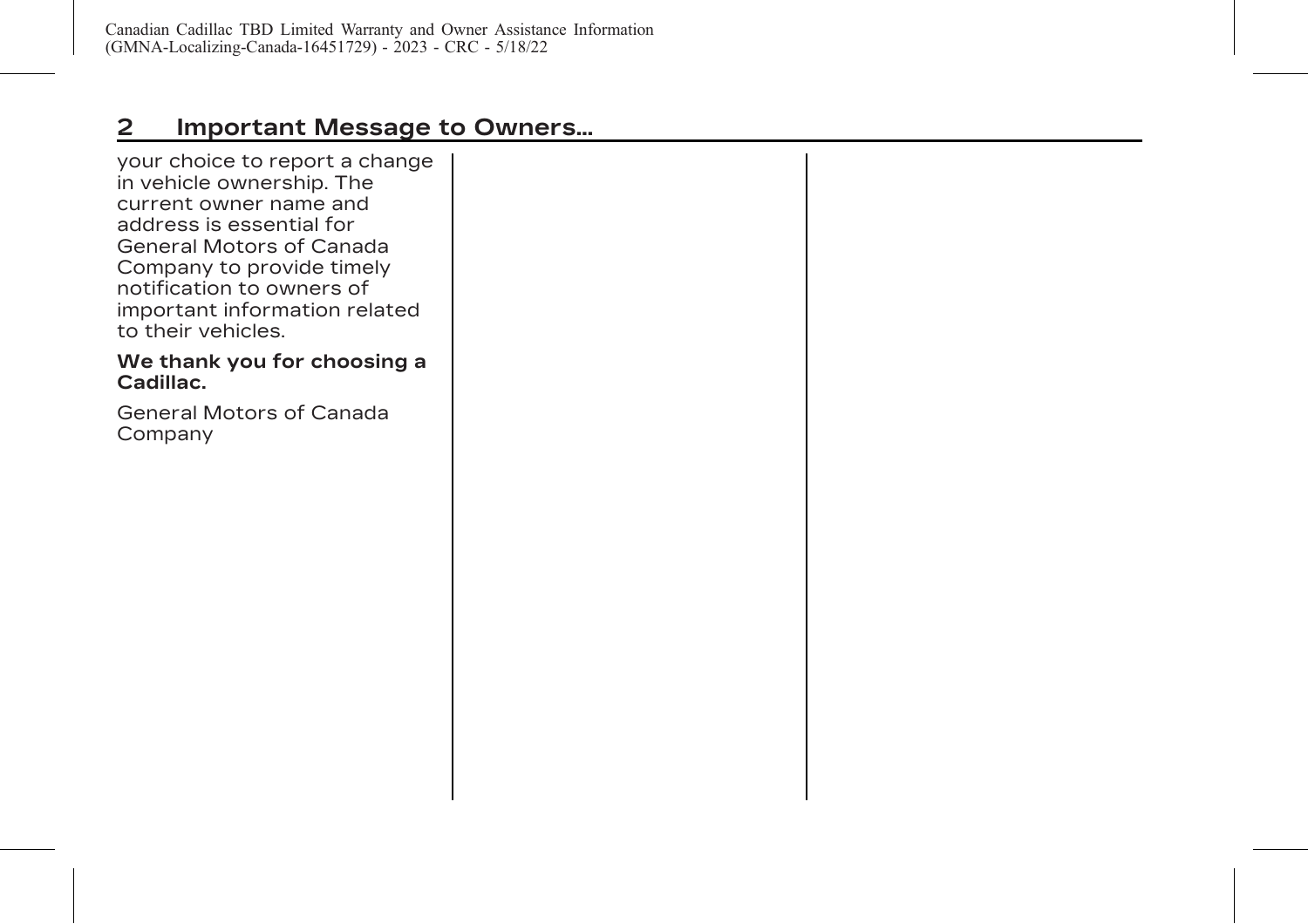# **2 Important Message to Owners...**

your choice to report a change in vehicle ownership. The current owner name and address is essential for General Motors of Canada Company to provide timely notification to owners of important information related to their vehicles.

#### **We thank you for choosing a Cadillac.**

General Motors of Canada Company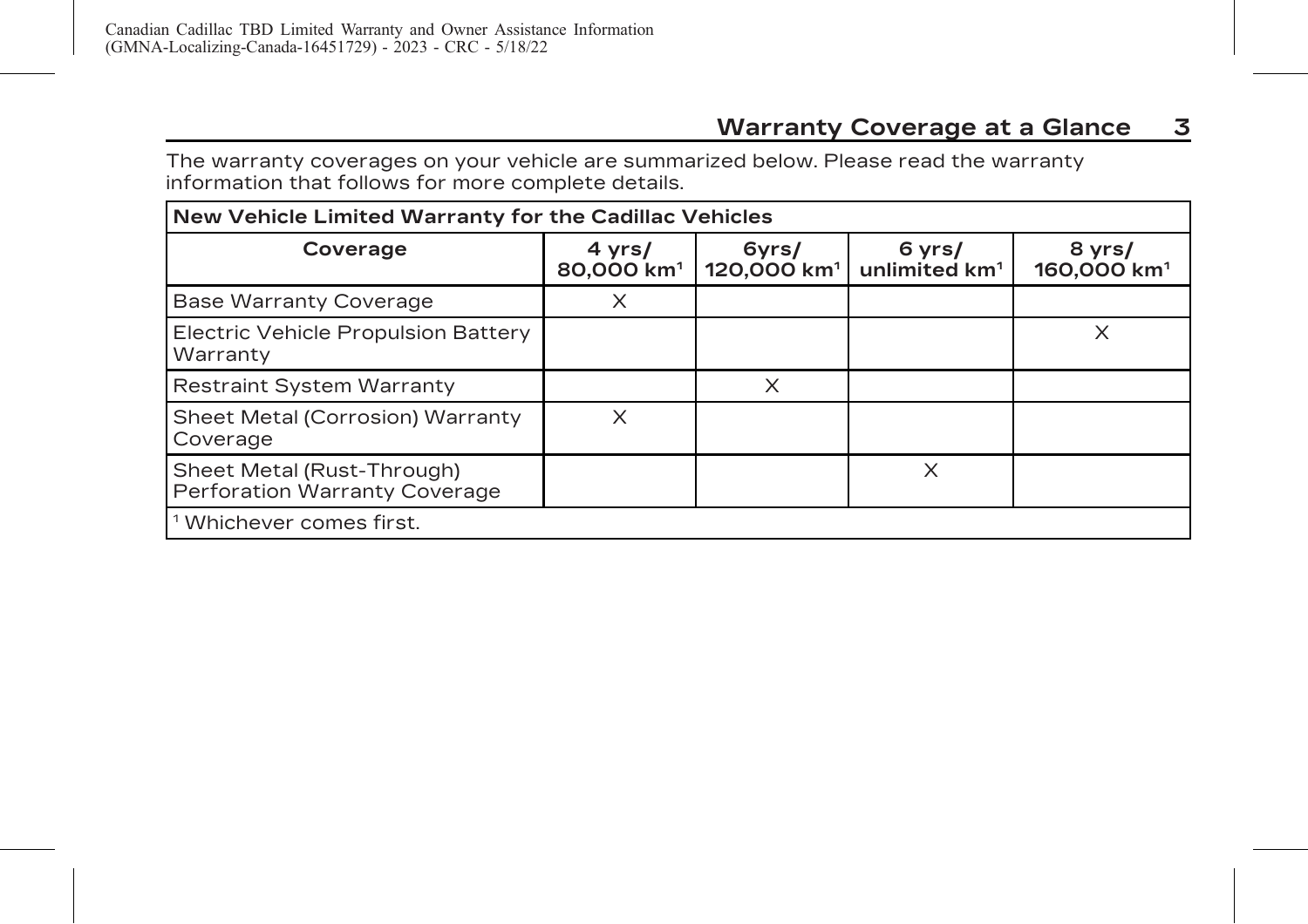<span id="page-7-0"></span>The warranty coverages on your vehicle are summarized below. Please read the warranty information that follows for more complete details.

| New Vehicle Limited Warranty for the Cadillac Vehicles             |                                  |                                  |                                     |                                   |
|--------------------------------------------------------------------|----------------------------------|----------------------------------|-------------------------------------|-----------------------------------|
| Coverage                                                           | 4 yrs/<br>80,000 km <sup>1</sup> | 6yrs/<br>120,000 km <sup>1</sup> | 6 yrs/<br>unlimited km <sup>1</sup> | 8 yrs/<br>160,000 km <sup>1</sup> |
| <b>Base Warranty Coverage</b>                                      | X                                |                                  |                                     |                                   |
| Electric Vehicle Propulsion Battery<br>Warranty                    |                                  |                                  |                                     | X                                 |
| <b>Restraint System Warranty</b>                                   |                                  | X                                |                                     |                                   |
| Sheet Metal (Corrosion) Warranty<br>Coverage                       | X                                |                                  |                                     |                                   |
| Sheet Metal (Rust-Through)<br><b>Perforation Warranty Coverage</b> |                                  |                                  | X                                   |                                   |
| <sup>1</sup> Whichever comes first.                                |                                  |                                  |                                     |                                   |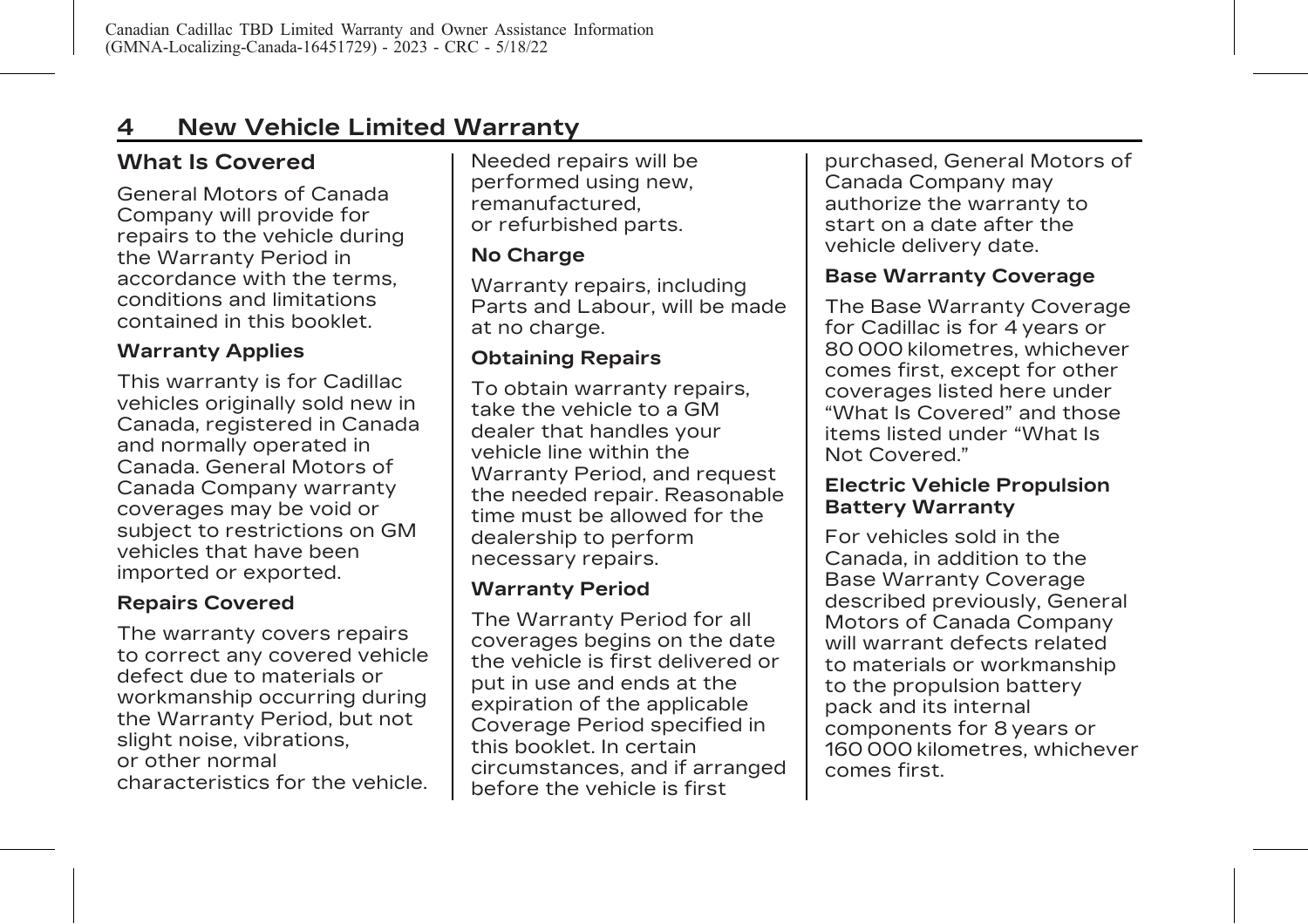# <span id="page-8-0"></span>**4 New Vehicle Limited Warranty**

# **What Is Covered**

General Motors of Canada Company will provide for repairs to the vehicle during the Warranty Period in accordance with the terms, conditions and limitations contained in this booklet.

#### **Warranty Applies**

This warranty is for Cadillac vehicles originally sold new in Canada, registered in Canada and normally operated in Canada. General Motors of Canada Company warranty coverages may be void or subject to restrictions on GM vehicles that have been imported or exported.

### **Repairs Covered**

The warranty covers repairs to correct any covered vehicle defect due to materials or workmanship occurring during the Warranty Period, but not slight noise, vibrations, or other normal characteristics for the vehicle.

Needed repairs will be performed using new, remanufactured, or refurbished parts.

#### **No Charge**

Warranty repairs, including Parts and Labour, will be made at no charge.

### **Obtaining Repairs**

To obtain warranty repairs, take the vehicle to a GM dealer that handles your vehicle line within the Warranty Period, and request the needed repair. Reasonable time must be allowed for the dealership to perform necessary repairs.

#### **Warranty Period**

The Warranty Period for all coverages begins on the date the vehicle is first delivered or put in use and ends at the expiration of the applicable Coverage Period specified in this booklet. In certain circumstances, and if arranged before the vehicle is first

purchased, General Motors of Canada Company may authorize the warranty to start on a date after the vehicle delivery date.

#### **Base Warranty Coverage**

The Base Warranty Coverage for Cadillac is for 4 years or 80 000 kilometres, whichever comes first, except for other coverages listed here under "What Is Covered" and those items listed under "What Is Not Covered."

#### **Electric Vehicle Propulsion Battery Warranty**

For vehicles sold in the Canada, in addition to the Base Warranty Coverage described previously, General Motors of Canada Company will warrant defects related to materials or workmanship to the propulsion battery pack and its internal components for 8 years or 160 000 kilometres, whichever comes first.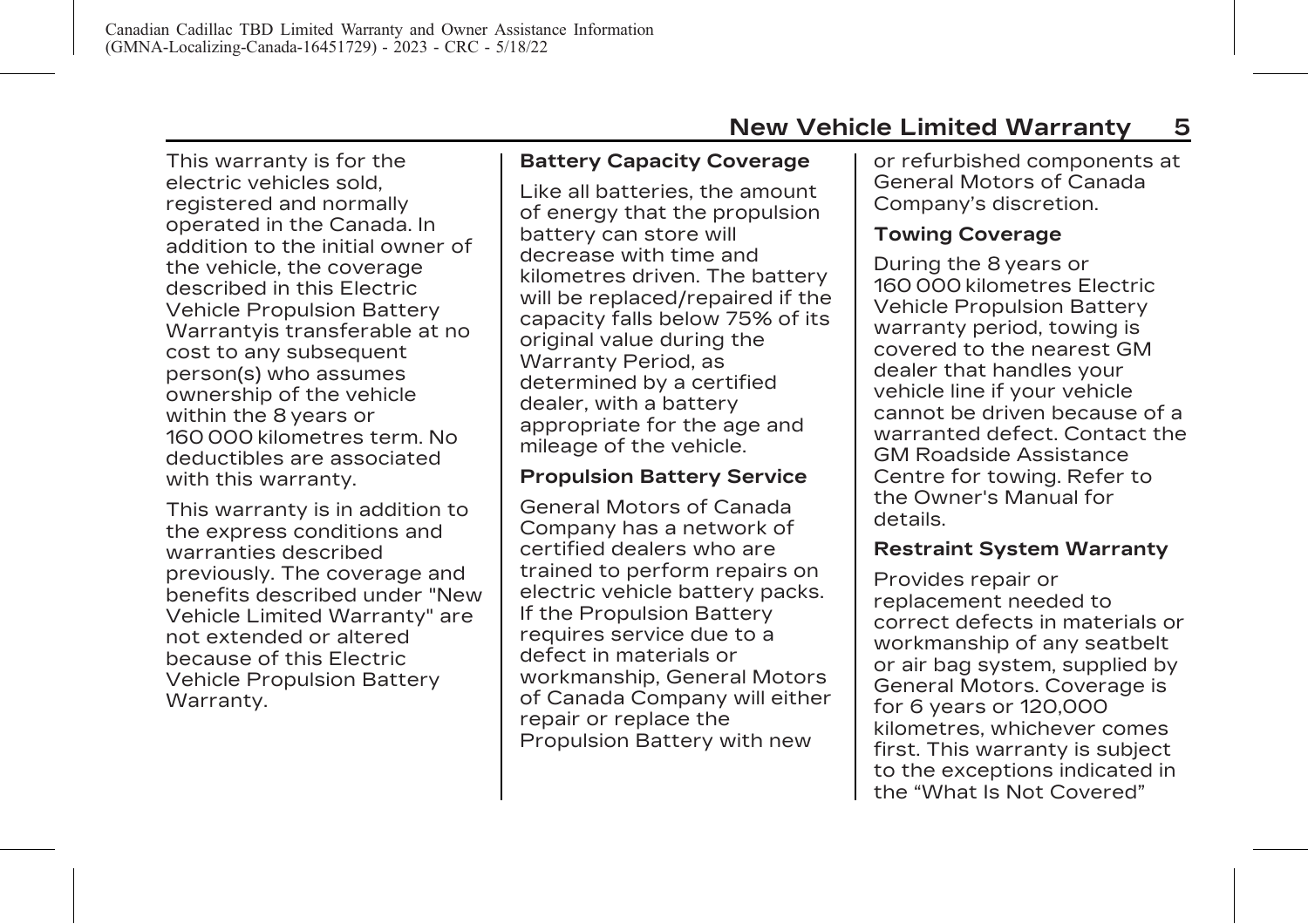This warranty is for the electric vehicles sold, registered and normally operated in the Canada. In addition to the initial owner of the vehicle, the coverage described in this Electric Vehicle Propulsion Battery Warrantyis transferable at no cost to any subsequent person(s) who assumes ownership of the vehicle within the 8 years or 160 000 kilometres term. No deductibles are associated with this warranty.

This warranty is in addition to the express conditions and warranties described previously. The coverage and benefits described under "New Vehicle Limited Warranty" are not extended or altered because of this Electric Vehicle Propulsion Battery Warranty.

#### **Battery Capacity Coverage**

Like all batteries, the amount of energy that the propulsion battery can store will decrease with time and kilometres driven. The battery will be replaced/repaired if the capacity falls below 75% of its original value during the Warranty Period, as determined by a certified dealer, with a battery appropriate for the age and mileage of the vehicle.

#### **Propulsion Battery Service**

General Motors of Canada Company has a network of certified dealers who are trained to perform repairs on electric vehicle battery packs. If the Propulsion Battery requires service due to a defect in materials or workmanship, General Motors of Canada Company will either repair or replace the Propulsion Battery with new

or refurbished components at General Motors of Canada Company's discretion.

#### **Towing Coverage**

During the 8 years or 160 000 kilometres Electric Vehicle Propulsion Battery warranty period, towing is covered to the nearest GM dealer that handles your vehicle line if your vehicle cannot be driven because of a warranted defect. Contact the GM Roadside Assistance Centre for towing. Refer to the Owner's Manual for details.

#### **Restraint System Warranty**

Provides repair or replacement needed to correct defects in materials or workmanship of any seatbelt or air bag system, supplied by General Motors. Coverage is for 6 years or 120,000 kilometres, whichever comes first. This warranty is subject to the exceptions indicated in the "What Is Not Covered"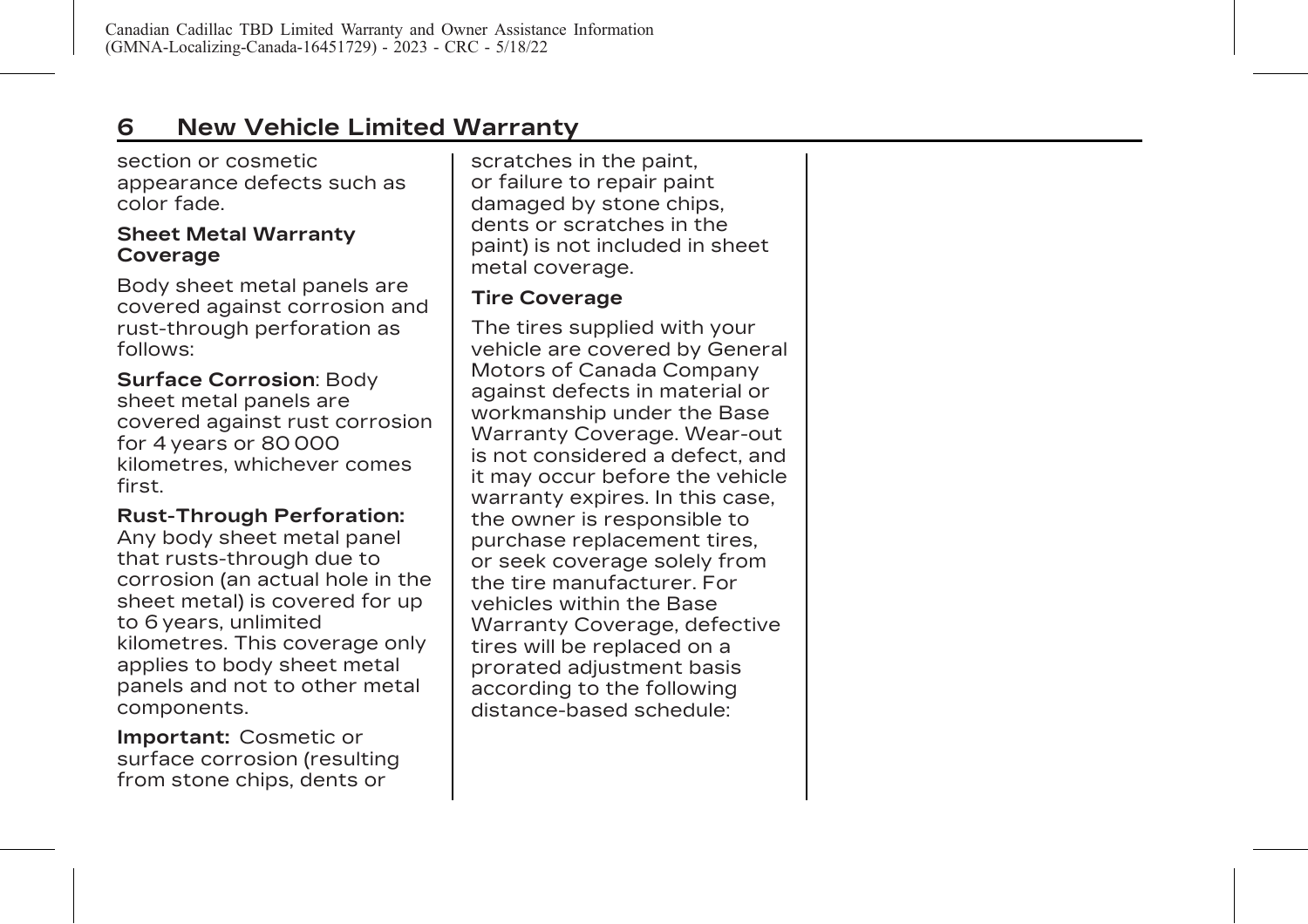# **6 New Vehicle Limited Warranty**

section or cosmetic appearance defects such as color fade.

#### **Sheet Metal Warranty Coverage**

Body sheet metal panels are covered against corrosion and rust-through perforation as follows:

**Surface Corrosion**: Body sheet metal panels are covered against rust corrosion for 4 years or 80 000 kilometres, whichever comes first.

#### **Rust-Through Perforation:**

Any body sheet metal panel that rusts-through due to corrosion (an actual hole in the sheet metal) is covered for up to 6 years, unlimited kilometres. This coverage only applies to body sheet metal panels and not to other metal components.

**Important:** Cosmetic or surface corrosion (resulting from stone chips, dents or

scratches in the paint, or failure to repair paint damaged by stone chips, dents or scratches in the paint) is not included in sheet metal coverage.

#### **Tire Coverage**

The tires supplied with your vehicle are covered by General Motors of Canada Company against defects in material or workmanship under the Base Warranty Coverage. Wear-out is not considered a defect, and it may occur before the vehicle warranty expires. In this case, the owner is responsible to purchase replacement tires, or seek coverage solely from the tire manufacturer. For vehicles within the Base Warranty Coverage, defective tires will be replaced on a prorated adjustment basis according to the following distance-based schedule: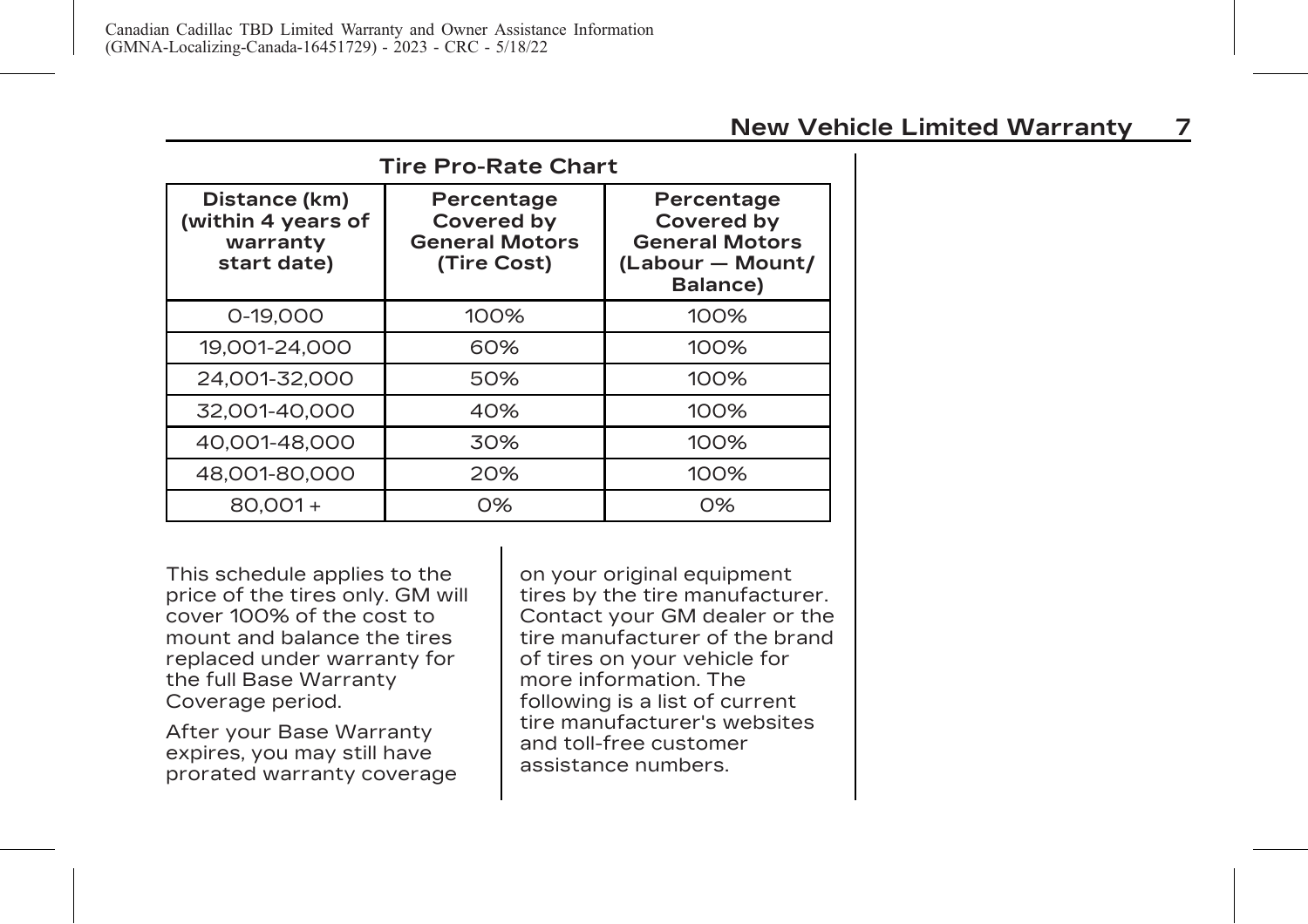| <b>New Vehicle Limited Warranty</b> |  |
|-------------------------------------|--|
|-------------------------------------|--|

| <b>Tire Pro-Rate Chart</b>                                     |                                                                         |                                                                                   |  |
|----------------------------------------------------------------|-------------------------------------------------------------------------|-----------------------------------------------------------------------------------|--|
| Distance (km)<br>(within 4 years of<br>warranty<br>start date) | Percentage<br><b>Covered by</b><br><b>General Motors</b><br>(Tire Cost) | Percentage<br>Covered by<br><b>General Motors</b><br>(Labour - Mount/<br>Balance) |  |
| 0-19.000                                                       | 100%                                                                    | 100%                                                                              |  |
| 19,001-24,000                                                  | 60%                                                                     | 100%                                                                              |  |
| 24.001-32.000                                                  | 50%                                                                     | 100%                                                                              |  |
| 32,001-40,000                                                  | 40%                                                                     | 100%                                                                              |  |
| 40,001-48,000                                                  | 30%                                                                     | 100%                                                                              |  |
| 48,001-80,000                                                  | 20%                                                                     | 100%                                                                              |  |
| $80.001 +$                                                     | 0%                                                                      | $O\%$                                                                             |  |

This schedule applies to the price of the tires only. GM will cover 100% of the cost to mount and balance the tires replaced under warranty for the full Base Warranty Coverage period.

After your Base Warranty expires, you may still have prorated warranty coverage on your original equipment tires by the tire manufacturer. Contact your GM dealer or the tire manufacturer of the brand of tires on your vehicle for more information. The following is a list of current tire manufacturer's websites and toll-free customer assistance numbers.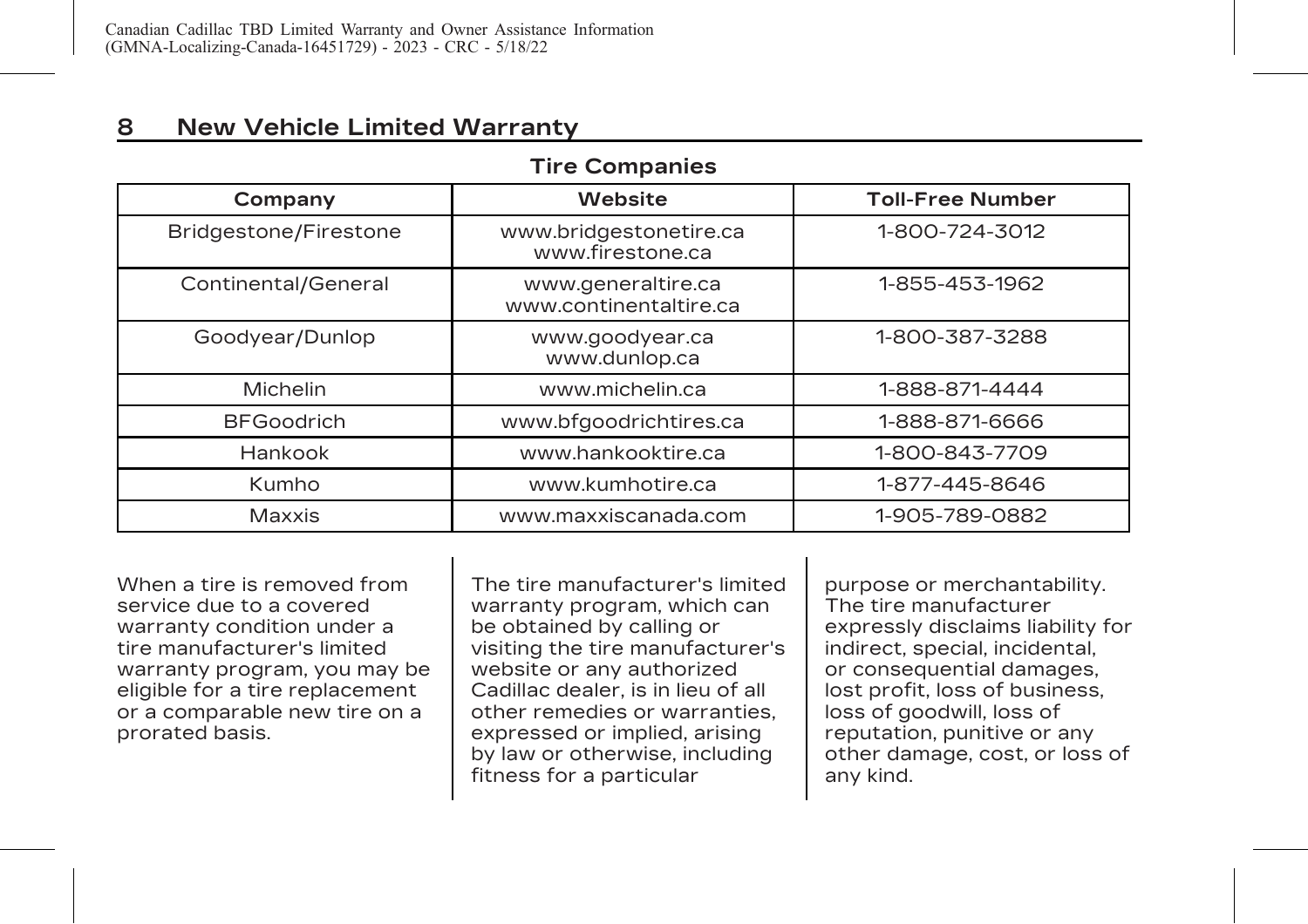## **8 New Vehicle Limited Warranty**

#### **Tire Companies**

| Company               | <b>Website</b>                               | <b>Toll-Free Number</b> |
|-----------------------|----------------------------------------------|-------------------------|
| Bridgestone/Firestone | www.bridgestonetire.ca<br>www.firestone.ca   | 1-800-724-3012          |
| Continental/General   | www.generaltire.ca<br>www.continentaltire.ca | 1-855-453-1962          |
| Goodyear/Dunlop       | www.goodyear.ca<br>www.dunlop.ca             | 1-800-387-3288          |
| Michelin              | www.michelin.ca                              | 1-888-871-4444          |
| <b>BFGoodrich</b>     | www.bfgoodrichtires.ca                       | 1-888-871-6666          |
| Hankook               | www.hankooktire.ca                           | 1-800-843-7709          |
| Kumho                 | www.kumhotire.ca                             | 1-877-445-8646          |
| Maxxis                | www.maxxiscanada.com                         | 1-905-789-0882          |

When a tire is removed from service due to a covered warranty condition under a tire manufacturer's limited warranty program, you may be eligible for a tire replacement or a comparable new tire on a prorated basis.

The tire manufacturer's limited warranty program, which can be obtained by calling or visiting the tire manufacturer's website or any authorized Cadillac dealer, is in lieu of all other remedies or warranties, expressed or implied, arising by law or otherwise, including fitness for a particular

purpose or merchantability. The tire manufacturer expressly disclaims liability for indirect, special, incidental, or consequential damages, lost profit, loss of business, loss of goodwill, loss of reputation, punitive or any other damage, cost, or loss of any kind.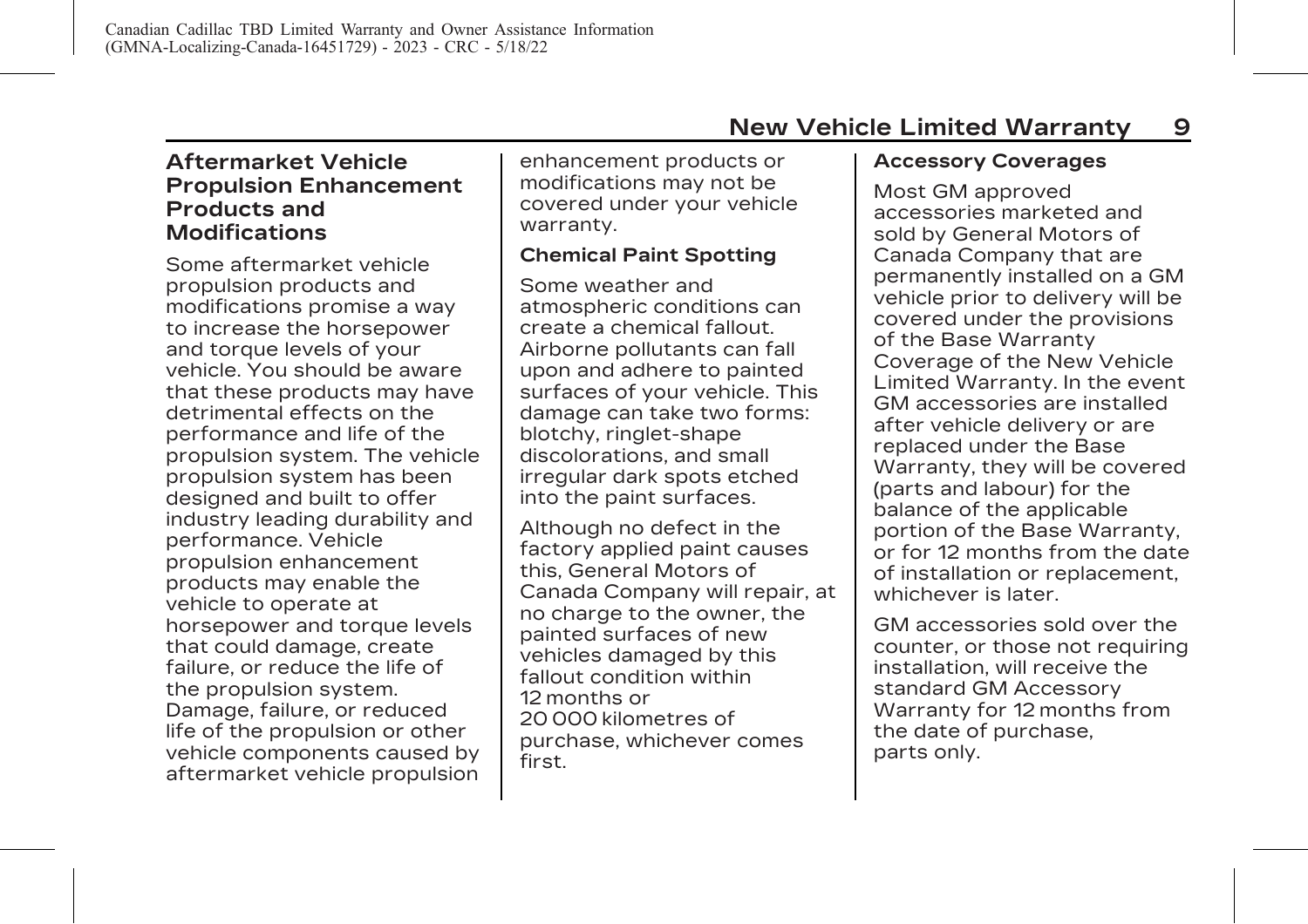### <span id="page-13-0"></span>**Aftermarket Vehicle Propulsion Enhancement Products and Modifications**

Some aftermarket vehicle propulsion products and modifications promise a way to increase the horsepower and torque levels of your vehicle. You should be aware that these products may have detrimental effects on the performance and life of the propulsion system. The vehicle propulsion system has been designed and built to offer industry leading durability and performance. Vehicle propulsion enhancement products may enable the vehicle to operate at horsepower and torque levels that could damage, create failure, or reduce the life of the propulsion system. Damage, failure, or reduced life of the propulsion or other vehicle components caused by aftermarket vehicle propulsion enhancement products or modifications may not be covered under your vehicle warranty.

#### **Chemical Paint Spotting**

Some weather and atmospheric conditions can create a chemical fallout. Airborne pollutants can fall upon and adhere to painted surfaces of your vehicle. This damage can take two forms: blotchy, ringlet-shape discolorations, and small irregular dark spots etched into the paint surfaces.

Although no defect in the factory applied paint causes this, General Motors of Canada Company will repair, at no charge to the owner, the painted surfaces of new vehicles damaged by this fallout condition within 12 months or 20 000 kilometres of purchase, whichever comes first.

### **Accessory Coverages**

Most GM approved accessories marketed and sold by General Motors of Canada Company that are permanently installed on a GM vehicle prior to delivery will be covered under the provisions of the Base Warranty Coverage of the New Vehicle Limited Warranty. In the event GM accessories are installed after vehicle delivery or are replaced under the Base Warranty, they will be covered (parts and labour) for the balance of the applicable portion of the Base Warranty, or for 12 months from the date of installation or replacement, whichever is later.

GM accessories sold over the counter, or those not requiring installation, will receive the standard GM Accessory Warranty for 12 months from the date of purchase, parts only.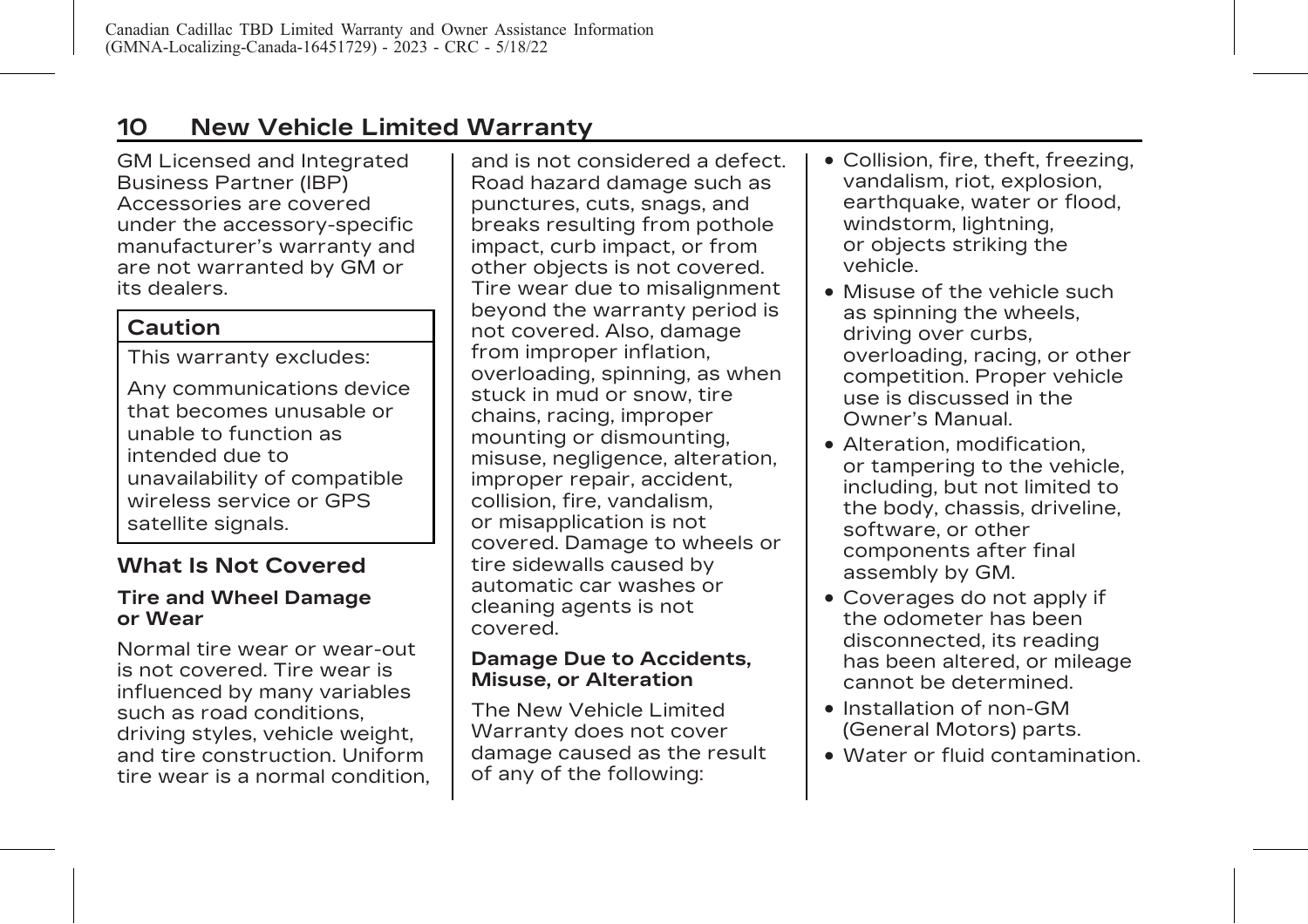# <span id="page-14-0"></span>**10 New Vehicle Limited Warranty**

GM Licensed and Integrated Business Partner (IBP) Accessories are covered under the accessory-specific manufacturer's warranty and are not warranted by GM or its dealers.

# **Caution**

This warranty excludes:

Any communications device that becomes unusable or unable to function as intended due to unavailability of compatible wireless service or GPS satellite signals.

# **What Is Not Covered**

#### **Tire and Wheel Damage or Wear**

Normal tire wear or wear-out is not covered. Tire wear is influenced by many variables such as road conditions, driving styles, vehicle weight, and tire construction. Uniform tire wear is a normal condition,

and is not considered a defect. Road hazard damage such as punctures, cuts, snags, and breaks resulting from pothole impact, curb impact, or from other objects is not covered. Tire wear due to misalignment beyond the warranty period is not covered. Also, damage from improper inflation, overloading, spinning, as when stuck in mud or snow, tire chains, racing, improper mounting or dismounting, misuse, negligence, alteration, improper repair, accident, collision, fire, vandalism, or misapplication is not covered. Damage to wheels or tire sidewalls caused by automatic car washes or cleaning agents is not covered.

#### **Damage Due to Accidents, Misuse, or Alteration**

The New Vehicle Limited Warranty does not cover damage caused as the result of any of the following:

- . Collision, fire, theft, freezing, vandalism, riot, explosion, earthquake, water or flood, windstorm, lightning, or objects striking the vehicle.
- . Misuse of the vehicle such as spinning the wheels, driving over curbs, overloading, racing, or other competition. Proper vehicle use is discussed in the Owner's Manual.
- . Alteration, modification, or tampering to the vehicle, including, but not limited to the body, chassis, driveline, software, or other components after final assembly by GM.
- . Coverages do not apply if the odometer has been disconnected, its reading has been altered, or mileage cannot be determined.
- . Installation of non-GM (General Motors) parts.
- . Water or fluid contamination.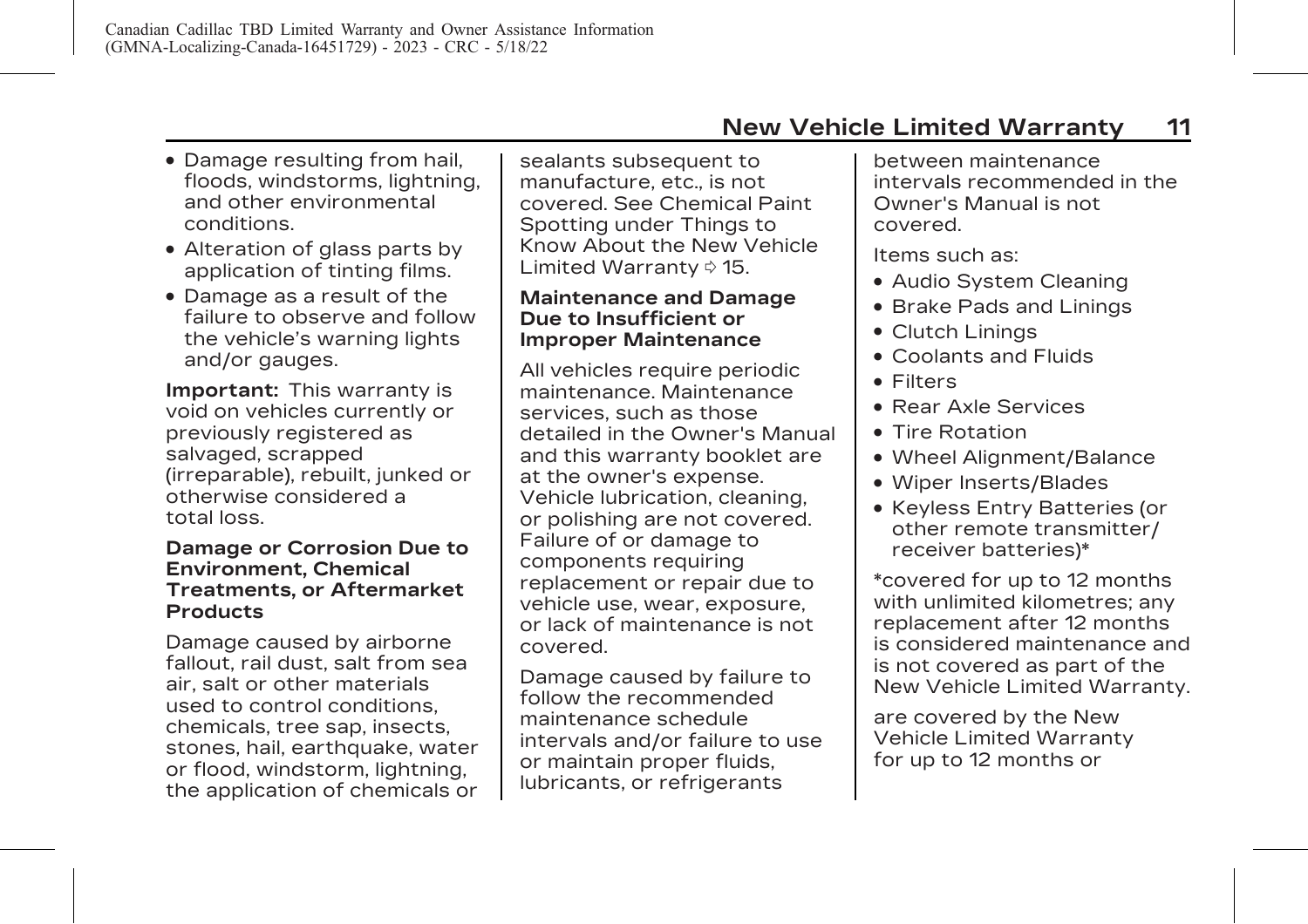- . Damage resulting from hail, floods, windstorms, lightning, and other environmental conditions.
- . Alteration of glass parts by application of tinting films.
- . Damage as a result of the failure to observe and follow the vehicle's warning lights and/or gauges.

**Important:** This warranty is void on vehicles currently or previously registered as salvaged, scrapped (irreparable), rebuilt, junked or otherwise considered a total loss.

#### **Damage or Corrosion Due to Environment, Chemical Treatments, or Aftermarket Products**

Damage caused by airborne fallout, rail dust, salt from sea air, salt or other materials used to control conditions, chemicals, tree sap, insects, stones, hail, earthquake, water or flood, windstorm, lightning, the application of chemicals or

sealants subsequent to manufacture, etc., is not covered. See Chemical Paint Spotting under [Things to](#page-19-0) [Know About the New Vehicle](#page-19-0) [Limited Warranty](#page-19-0)  $\diamond$  15.

#### **Maintenance and Damage Due to Insufficient or Improper Maintenance**

All vehicles require periodic maintenance. Maintenance services, such as those detailed in the Owner's Manual and this warranty booklet are at the owner's expense. Vehicle lubrication, cleaning, or polishing are not covered. Failure of or damage to components requiring replacement or repair due to vehicle use, wear, exposure, or lack of maintenance is not covered.

Damage caused by failure to follow the recommended maintenance schedule intervals and/or failure to use or maintain proper fluids, lubricants, or refrigerants

between maintenance intervals recommended in the Owner's Manual is not covered.

Items such as:

- . Audio System Cleaning
- . Brake Pads and Linings
- . Clutch Linings
- . Coolants and Fluids
- . Filters
- . Rear Axle Services
- . Tire Rotation
- . Wheel Alignment/Balance
- . Wiper Inserts/Blades
- . Keyless Entry Batteries (or other remote transmitter/ receiver batteries)\*

\*covered for up to 12 months with unlimited kilometres; any replacement after 12 months is considered maintenance and is not covered as part of the New Vehicle Limited Warranty.

are covered by the New Vehicle Limited Warranty for up to 12 months or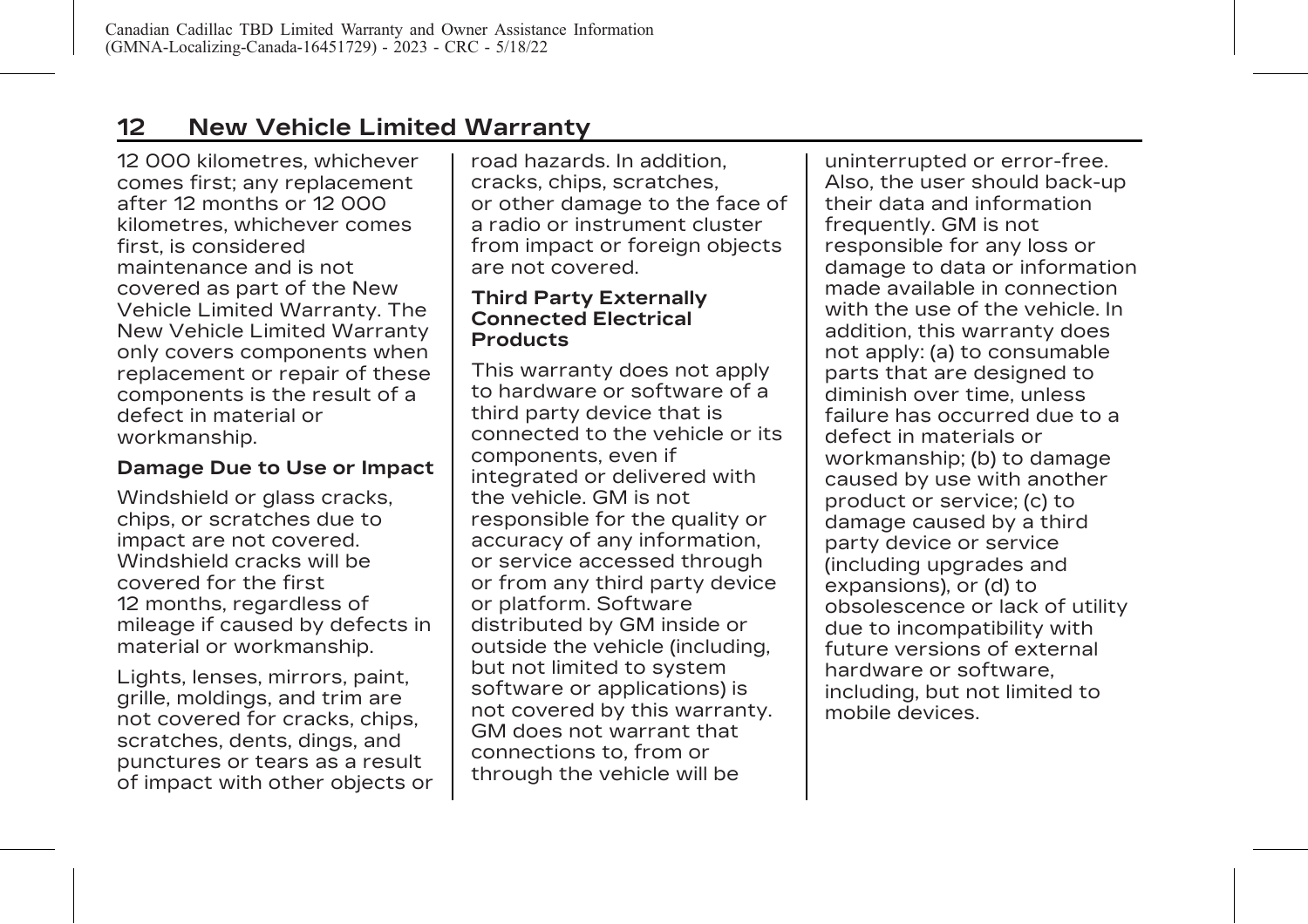12 000 kilometres, whichever comes first; any replacement after 12 months or 12 000 kilometres, whichever comes first, is considered maintenance and is not covered as part of the New Vehicle Limited Warranty. The New Vehicle Limited Warranty only covers components when replacement or repair of these components is the result of a defect in material or workmanship.

#### **Damage Due to Use or Impact**

Windshield or glass cracks, chips, or scratches due to impact are not covered. Windshield cracks will be covered for the first 12 months, regardless of mileage if caused by defects in material or workmanship.

Lights, lenses, mirrors, paint, grille, moldings, and trim are not covered for cracks, chips, scratches, dents, dings, and punctures or tears as a result of impact with other objects or road hazards. In addition, cracks, chips, scratches, or other damage to the face of a radio or instrument cluster from impact or foreign objects are not covered.

#### **Third Party Externally Connected Electrical Products**

This warranty does not apply to hardware or software of a third party device that is connected to the vehicle or its components, even if integrated or delivered with the vehicle. GM is not responsible for the quality or accuracy of any information, or service accessed through or from any third party device or platform. Software distributed by GM inside or outside the vehicle (including, but not limited to system software or applications) is not covered by this warranty. GM does not warrant that connections to, from or through the vehicle will be

uninterrupted or error-free. Also, the user should back-up their data and information frequently. GM is not responsible for any loss or damage to data or information made available in connection with the use of the vehicle. In addition, this warranty does not apply: (a) to consumable parts that are designed to diminish over time, unless failure has occurred due to a defect in materials or workmanship; (b) to damage caused by use with another product or service; (c) to damage caused by a third party device or service (including upgrades and expansions), or (d) to obsolescence or lack of utility due to incompatibility with future versions of external hardware or software, including, but not limited to mobile devices.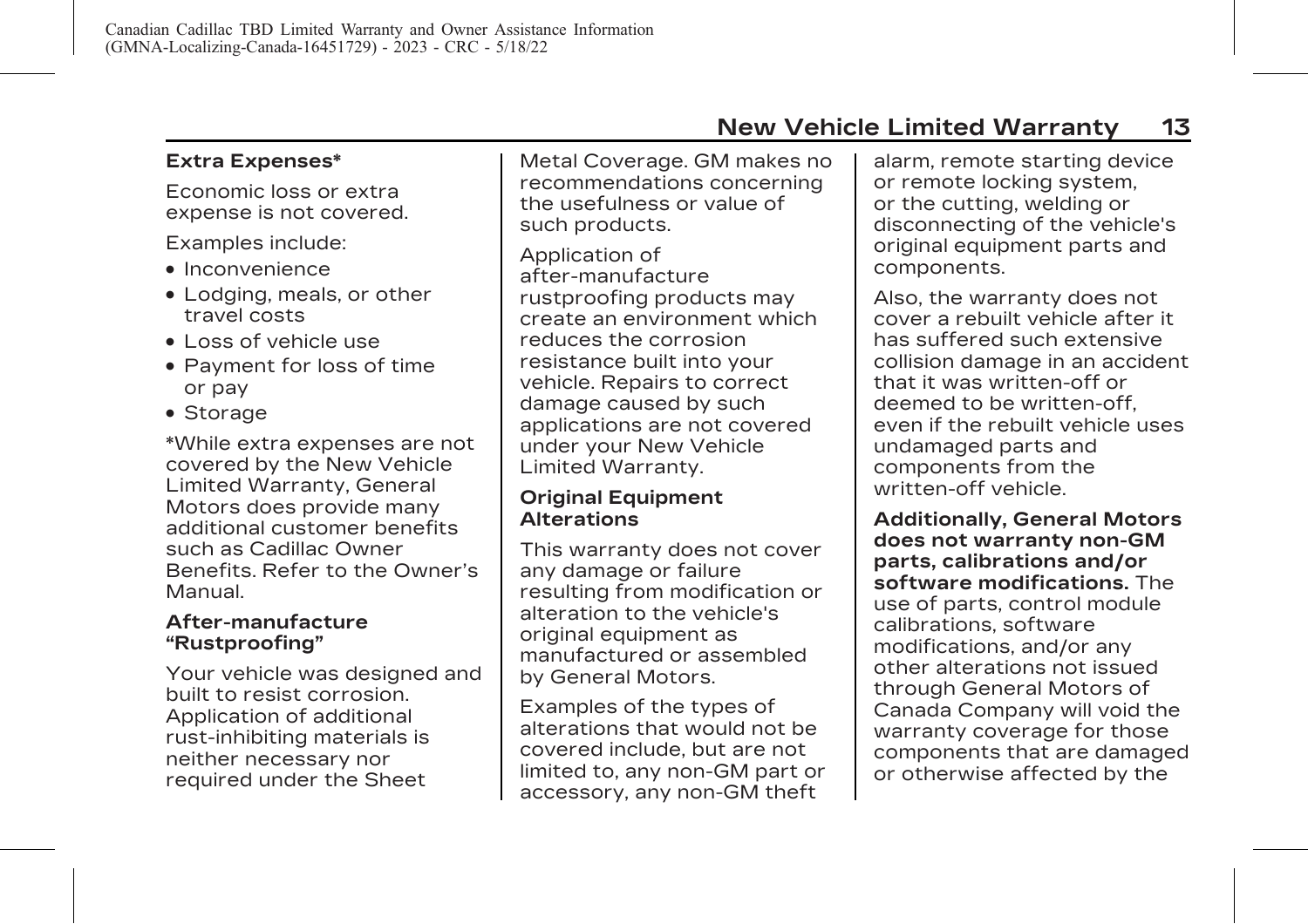# **Extra Expenses\***

Economic loss or extra expense is not covered.

Examples include:

- . Inconvenience
- . Lodging, meals, or other travel costs
- . Loss of vehicle use
- . Payment for loss of time or pay
- . Storage

\*While extra expenses are not covered by the New Vehicle Limited Warranty, General Motors does provide many additional customer benefits such as Cadillac Owner Benefits. Refer to the Owner's Manual.

#### **After-manufacture "Rustproofing"**

Your vehicle was designed and built to resist corrosion. Application of additional rust-inhibiting materials is neither necessary nor required under the Sheet

Metal Coverage. GM makes no recommendations concerning the usefulness or value of such products.

Application of after-manufacture rustproofing products may create an environment which reduces the corrosion resistance built into your vehicle. Repairs to correct damage caused by such applications are not covered under your New Vehicle Limited Warranty.

#### **Original Equipment Alterations**

This warranty does not cover any damage or failure resulting from modification or alteration to the vehicle's original equipment as manufactured or assembled by General Motors.

Examples of the types of alterations that would not be covered include, but are not limited to, any non-GM part or accessory, any non-GM theft

alarm, remote starting device or remote locking system, or the cutting, welding or disconnecting of the vehicle's original equipment parts and components.

Also, the warranty does not cover a rebuilt vehicle after it has suffered such extensive collision damage in an accident that it was written-off or deemed to be written-off, even if the rebuilt vehicle uses undamaged parts and components from the written-off vehicle.

**Additionally, General Motors does not warranty non-GM parts, calibrations and/or software modifications.** The use of parts, control module calibrations, software modifications, and/or any other alterations not issued through General Motors of Canada Company will void the warranty coverage for those components that are damaged or otherwise affected by the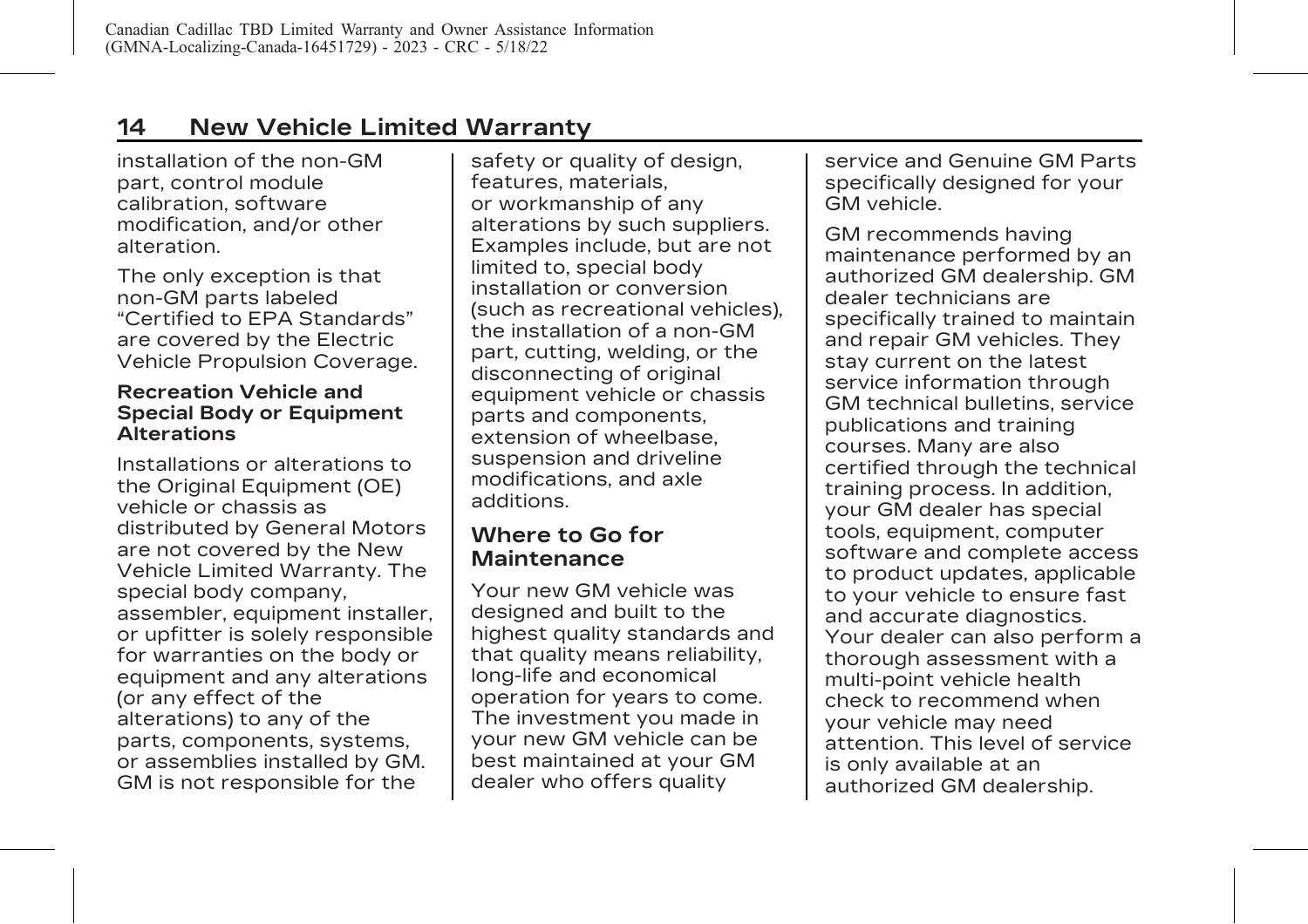# <span id="page-18-0"></span>**14 New Vehicle Limited Warranty**

installation of the non-GM part, control module calibration, software modification, and/or other alteration.

The only exception is that non-GM parts labeled "Certified to EPA Standards" are covered by the Electric Vehicle Propulsion Coverage.

#### **Recreation Vehicle and Special Body or Equipment Alterations**

Installations or alterations to the Original Equipment (OE) vehicle or chassis as distributed by General Motors are not covered by the New Vehicle Limited Warranty. The special body company, assembler, equipment installer, or upfitter is solely responsible for warranties on the body or equipment and any alterations (or any effect of the alterations) to any of the parts, components, systems, or assemblies installed by GM. GM is not responsible for the

safety or quality of design, features, materials, or workmanship of any alterations by such suppliers. Examples include, but are not limited to, special body installation or conversion (such as recreational vehicles), the installation of a non-GM part, cutting, welding, or the disconnecting of original equipment vehicle or chassis parts and components, extension of wheelbase, suspension and driveline modifications, and axle additions.

## **Where to Go for Maintenance**

Your new GM vehicle was designed and built to the highest quality standards and that quality means reliability, long-life and economical operation for years to come. The investment you made in your new GM vehicle can be best maintained at your GM dealer who offers quality

service and Genuine GM Parts specifically designed for your GM vehicle.

GM recommends having maintenance performed by an authorized GM dealership. GM dealer technicians are specifically trained to maintain and repair GM vehicles. They stay current on the latest service information through GM technical bulletins, service publications and training courses. Many are also certified through the technical training process. In addition, your GM dealer has special tools, equipment, computer software and complete access to product updates, applicable to your vehicle to ensure fast and accurate diagnostics. Your dealer can also perform a thorough assessment with a multi-point vehicle health check to recommend when your vehicle may need attention. This level of service is only available at an authorized GM dealership.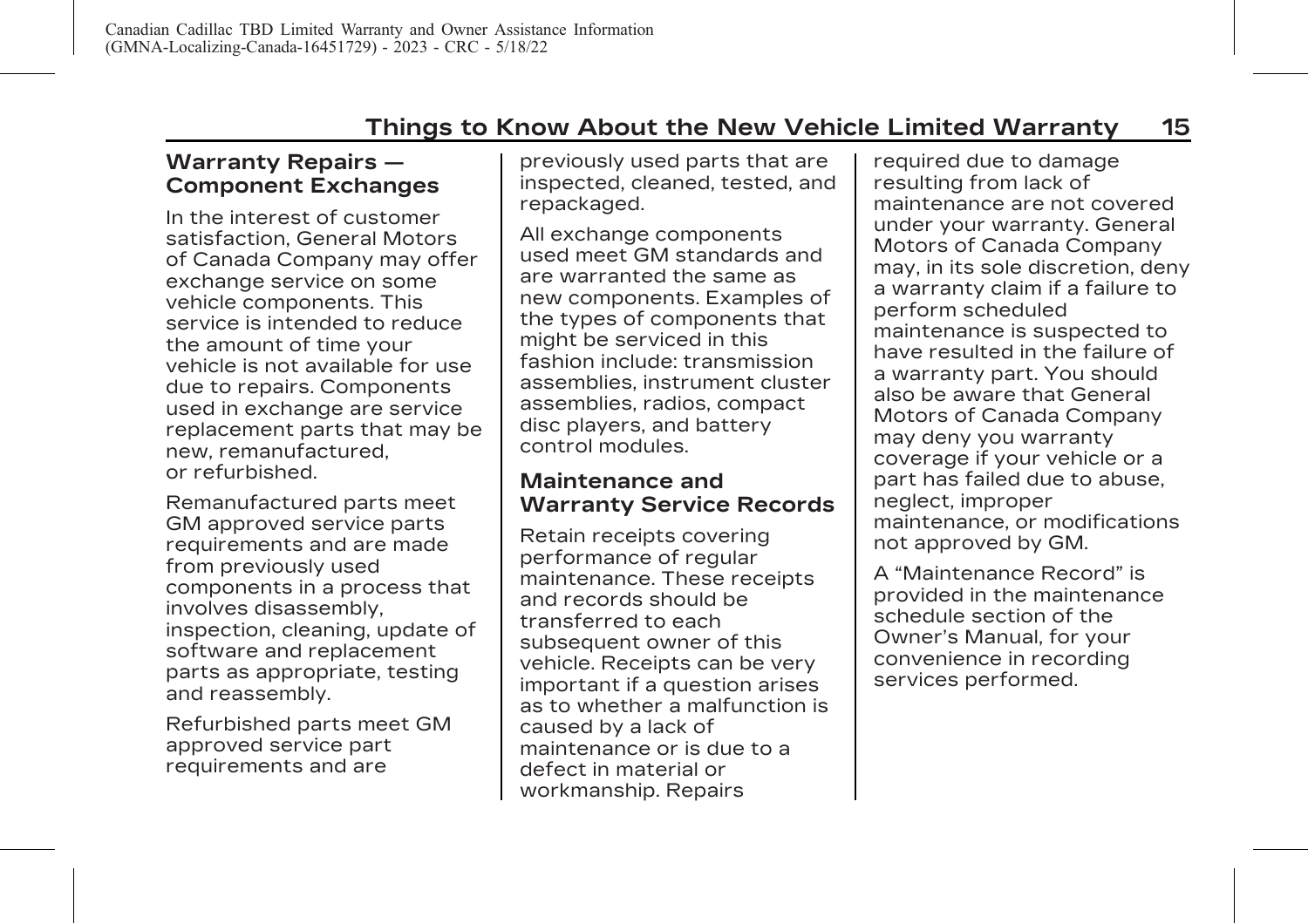### <span id="page-19-0"></span>**Warranty Repairs — Component Exchanges**

In the interest of customer satisfaction, General Motors of Canada Company may offer exchange service on some vehicle components. This service is intended to reduce the amount of time your vehicle is not available for use due to repairs. Components used in exchange are service replacement parts that may be new, remanufactured, or refurbished.

Remanufactured parts meet GM approved service parts requirements and are made from previously used components in a process that involves disassembly, inspection, cleaning, update of software and replacement parts as appropriate, testing and reassembly.

Refurbished parts meet GM approved service part requirements and are

previously used parts that are inspected, cleaned, tested, and repackaged.

All exchange components used meet GM standards and are warranted the same as new components. Examples of the types of components that might be serviced in this fashion include: transmission assemblies, instrument cluster assemblies, radios, compact disc players, and battery control modules.

#### **Maintenance and Warranty Service Records**

Retain receipts covering performance of regular maintenance. These receipts and records should be transferred to each subsequent owner of this vehicle. Receipts can be very important if a question arises as to whether a malfunction is caused by a lack of maintenance or is due to a defect in material or workmanship. Repairs

required due to damage resulting from lack of maintenance are not covered under your warranty. General Motors of Canada Company may, in its sole discretion, deny a warranty claim if a failure to perform scheduled maintenance is suspected to have resulted in the failure of a warranty part. You should also be aware that General Motors of Canada Company may deny you warranty coverage if your vehicle or a part has failed due to abuse, neglect, improper maintenance, or modifications not approved by GM.

A "Maintenance Record" is provided in the maintenance schedule section of the Owner's Manual, for your convenience in recording services performed.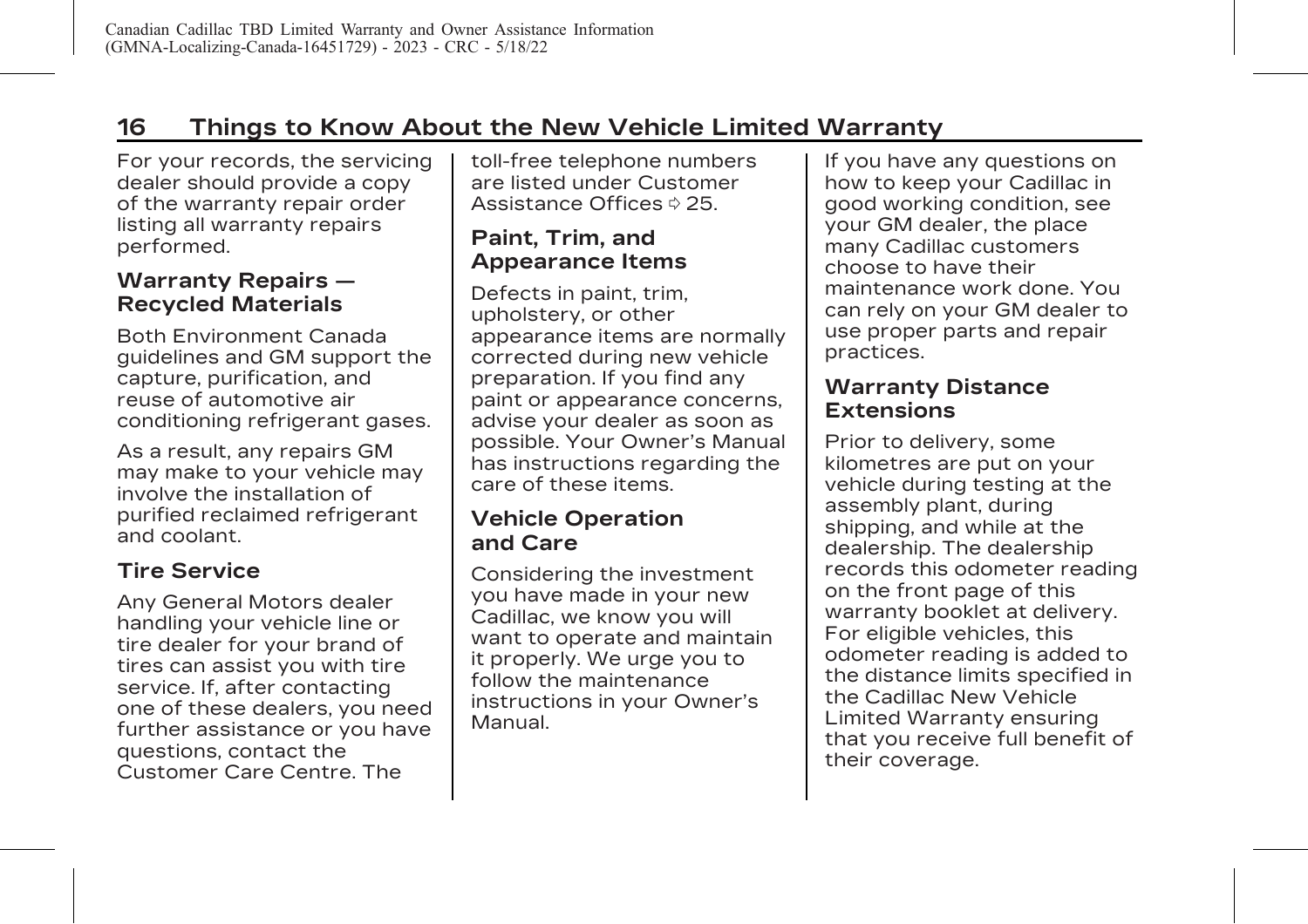# <span id="page-20-0"></span>**16 Things to Know About the New Vehicle Limited Warranty**

For your records, the servicing dealer should provide a copy of the warranty repair order listing all warranty repairs performed.

# **Warranty Repairs — Recycled Materials**

Both Environment Canada guidelines and GM support the capture, purification, and reuse of automotive air conditioning refrigerant gases.

As a result, any repairs GM may make to your vehicle may involve the installation of purified reclaimed refrigerant and coolant.

# **Tire Service**

Any General Motors dealer handling your vehicle line or tire dealer for your brand of tires can assist you with tire service. If, after contacting one of these dealers, you need further assistance or you have questions, contact the Customer Care Centre. The

toll-free telephone numbers are listed under [Customer](#page-29-0) [Assistance Offices](#page-29-0)  $\Diamond$  25.

# **Paint, Trim, and Appearance Items**

Defects in paint, trim, upholstery, or other appearance items are normally corrected during new vehicle preparation. If you find any paint or appearance concerns, advise your dealer as soon as possible. Your Owner's Manual has instructions regarding the care of these items.

### **Vehicle Operation and Care**

Considering the investment you have made in your new Cadillac, we know you will want to operate and maintain it properly. We urge you to follow the maintenance instructions in your Owner's Manual.

If you have any questions on how to keep your Cadillac in good working condition, see your GM dealer, the place many Cadillac customers choose to have their maintenance work done. You can rely on your GM dealer to use proper parts and repair practices.

### **Warranty Distance Extensions**

Prior to delivery, some kilometres are put on your vehicle during testing at the assembly plant, during shipping, and while at the dealership. The dealership records this odometer reading on the front page of this warranty booklet at delivery. For eligible vehicles, this odometer reading is added to the distance limits specified in the Cadillac New Vehicle Limited Warranty ensuring that you receive full benefit of their coverage.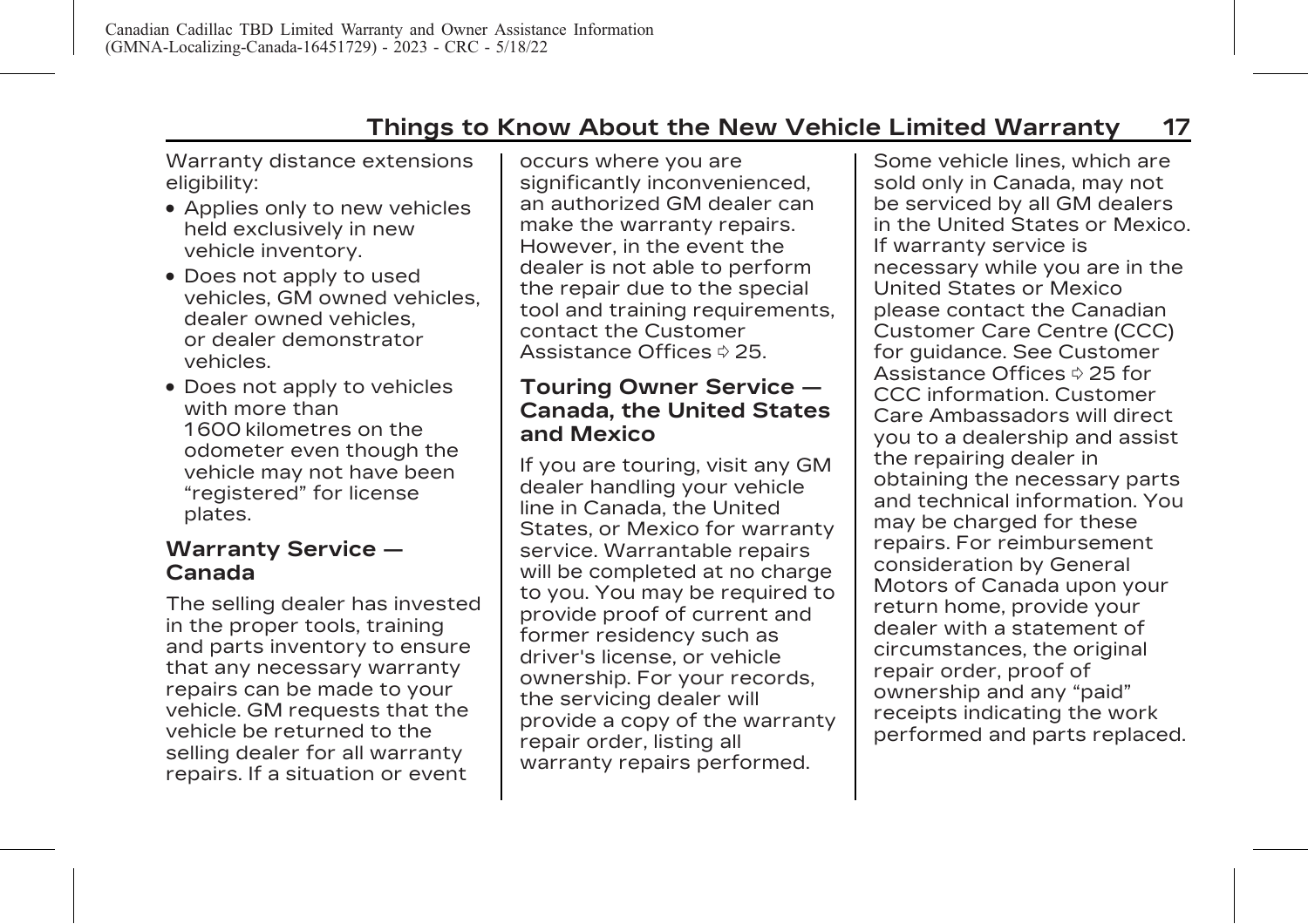# **Things to Know About the New Vehicle Limited Warranty 17**

<span id="page-21-0"></span>Warranty distance extensions eligibility:

- . Applies only to new vehicles held exclusively in new vehicle inventory.
- . Does not apply to used vehicles, GM owned vehicles, dealer owned vehicles, or dealer demonstrator vehicles.
- . Does not apply to vehicles with more than 1 600 kilometres on the odometer even though the vehicle may not have been "registered" for license plates.

#### **Warranty Service — Canada**

The selling dealer has invested in the proper tools, training and parts inventory to ensure that any necessary warranty repairs can be made to your vehicle. GM requests that the vehicle be returned to the selling dealer for all warranty repairs. If a situation or event

occurs where you are significantly inconvenienced, an authorized GM dealer can make the warranty repairs. However, in the event the dealer is not able to perform the repair due to the special tool and training requirements, contact the [Customer](#page-29-0) [Assistance Offices](#page-29-0)  $\Diamond$  25.

### **Touring Owner Service — Canada, the United States and Mexico**

If you are touring, visit any GM dealer handling your vehicle line in Canada, the United States, or Mexico for warranty service. Warrantable repairs will be completed at no charge to you. You may be required to provide proof of current and former residency such as driver's license, or vehicle ownership. For your records, the servicing dealer will provide a copy of the warranty repair order, listing all warranty repairs performed.

Some vehicle lines, which are sold only in Canada, may not be serviced by all GM dealers in the United States or Mexico. If warranty service is necessary while you are in the United States or Mexico please contact the Canadian Customer Care Centre (CCC) for guidance. See [Customer](#page-29-0) [Assistance Offices](#page-29-0)  $\Diamond$  25 for CCC information. Customer Care Ambassadors will direct you to a dealership and assist the repairing dealer in obtaining the necessary parts and technical information. You may be charged for these repairs. For reimbursement consideration by General Motors of Canada upon your return home, provide your dealer with a statement of circumstances, the original repair order, proof of ownership and any "paid" receipts indicating the work performed and parts replaced.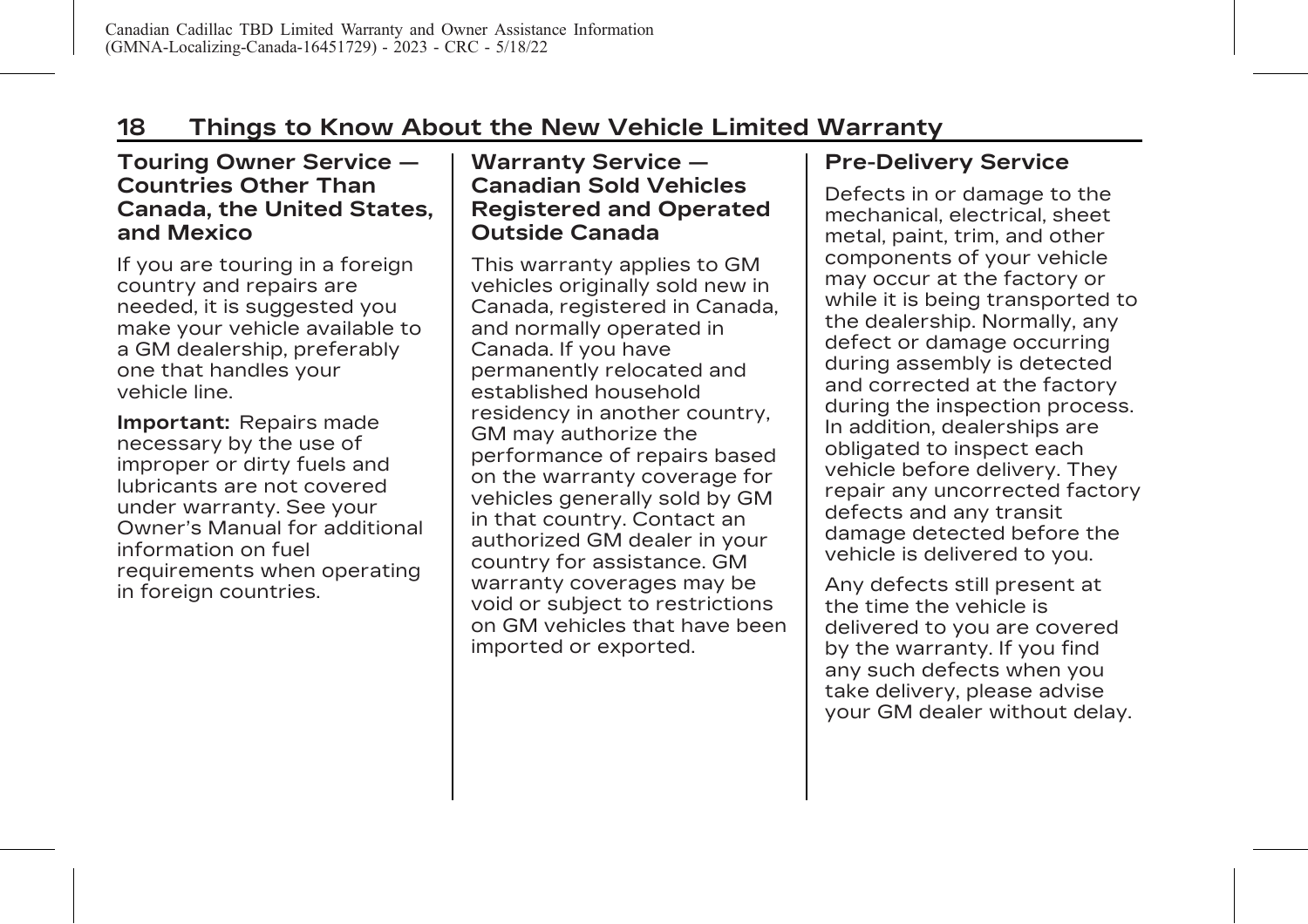#### <span id="page-22-0"></span>**Touring Owner Service — Countries Other Than Canada, the United States, and Mexico**

If you are touring in a foreign country and repairs are needed, it is suggested you make your vehicle available to a GM dealership, preferably one that handles your vehicle line.

**Important:** Repairs made necessary by the use of improper or dirty fuels and lubricants are not covered under warranty. See your Owner's Manual for additional information on fuel requirements when operating in foreign countries.

### **Warranty Service — Canadian Sold Vehicles Registered and Operated Outside Canada**

This warranty applies to GM vehicles originally sold new in Canada, registered in Canada, and normally operated in Canada. If you have permanently relocated and established household residency in another country, GM may authorize the performance of repairs based on the warranty coverage for vehicles generally sold by GM in that country. Contact an authorized GM dealer in your country for assistance. GM warranty coverages may be void or subject to restrictions on GM vehicles that have been imported or exported.

# **Pre-Delivery Service**

Defects in or damage to the mechanical, electrical, sheet metal, paint, trim, and other components of your vehicle may occur at the factory or while it is being transported to the dealership. Normally, any defect or damage occurring during assembly is detected and corrected at the factory during the inspection process. In addition, dealerships are obligated to inspect each vehicle before delivery. They repair any uncorrected factory defects and any transit damage detected before the vehicle is delivered to you.

Any defects still present at the time the vehicle is delivered to you are covered by the warranty. If you find any such defects when you take delivery, please advise your GM dealer without delay.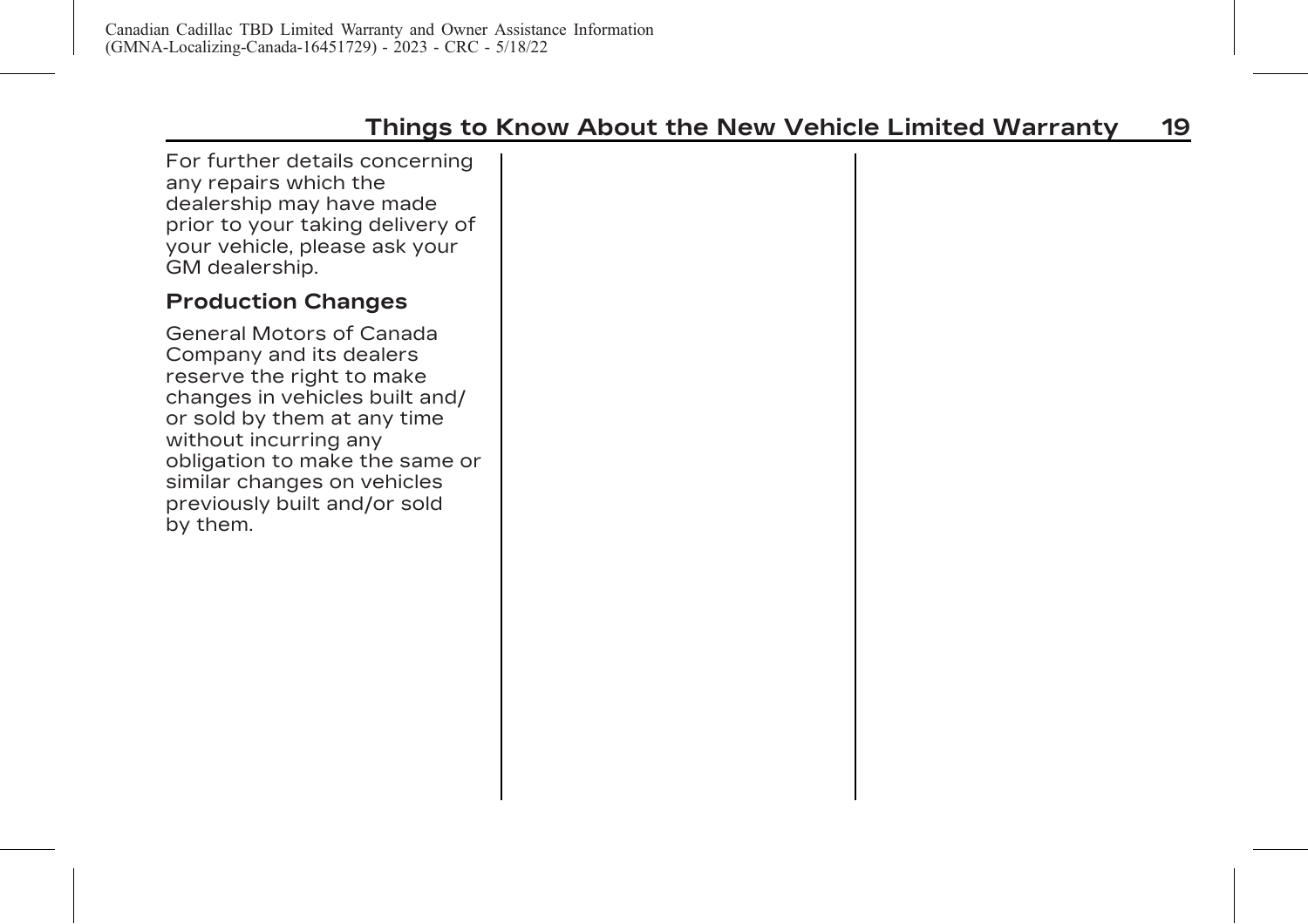<span id="page-23-0"></span>For further details concerning any repairs which the dealership may have made prior to your taking delivery of your vehicle, please ask your GM dealership.

### **Production Changes**

General Motors of Canada Company and its dealers reserve the right to make changes in vehicles built and/ or sold by them at any time without incurring any obligation to make the same or similar changes on vehicles previously built and/or sold by them.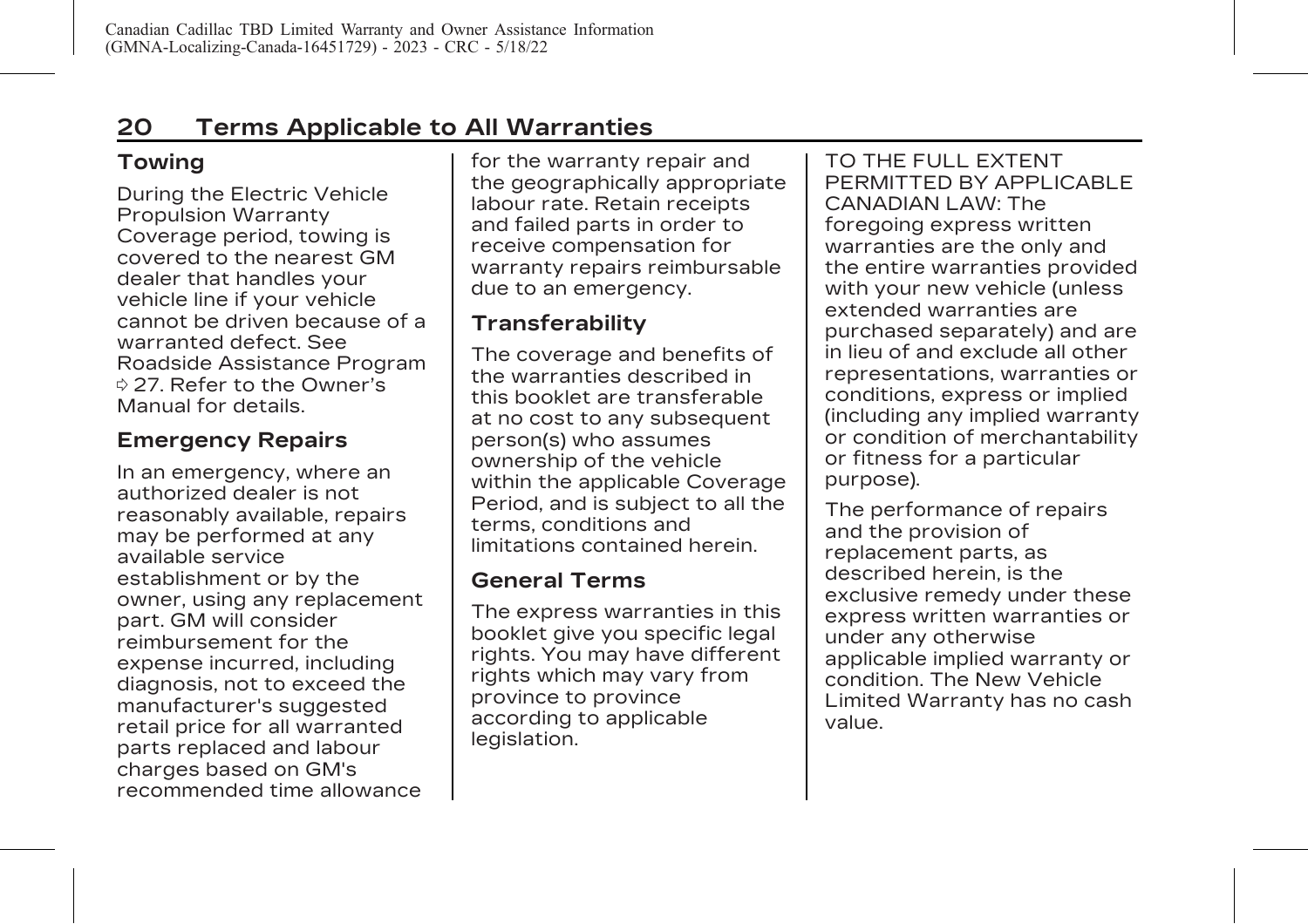# <span id="page-24-0"></span>**Towing**

During the Electric Vehicle Propulsion Warranty Coverage period, towing is covered to the nearest GM dealer that handles your vehicle line if your vehicle cannot be driven because of a warranted defect. See [Roadside Assistance Program](#page-31-0)  $\dot{\varphi}$  [27](#page-31-0). Refer to the Owner's Manual for details.

# **Emergency Repairs**

In an emergency, where an authorized dealer is not reasonably available, repairs may be performed at any available service establishment or by the owner, using any replacement part. GM will consider reimbursement for the expense incurred, including diagnosis, not to exceed the manufacturer's suggested retail price for all warranted parts replaced and labour charges based on GM's recommended time allowance for the warranty repair and the geographically appropriate labour rate. Retain receipts and failed parts in order to receive compensation for warranty repairs reimbursable due to an emergency.

## **Transferability**

The coverage and benefits of the warranties described in this booklet are transferable at no cost to any subsequent person(s) who assumes ownership of the vehicle within the applicable Coverage Period, and is subject to all the terms, conditions and limitations contained herein.

#### **General Terms**

The express warranties in this booklet give you specific legal rights. You may have different rights which may vary from province to province according to applicable legislation.

TO THE FULL EXTENT PERMITTED BY APPLICABLE CANADIAN LAW: The foregoing express written warranties are the only and the entire warranties provided with your new vehicle (unless extended warranties are purchased separately) and are in lieu of and exclude all other representations, warranties or conditions, express or implied (including any implied warranty or condition of merchantability or fitness for a particular purpose).

The performance of repairs and the provision of replacement parts, as described herein, is the exclusive remedy under these express written warranties or under any otherwise applicable implied warranty or condition. The New Vehicle Limited Warranty has no cash value.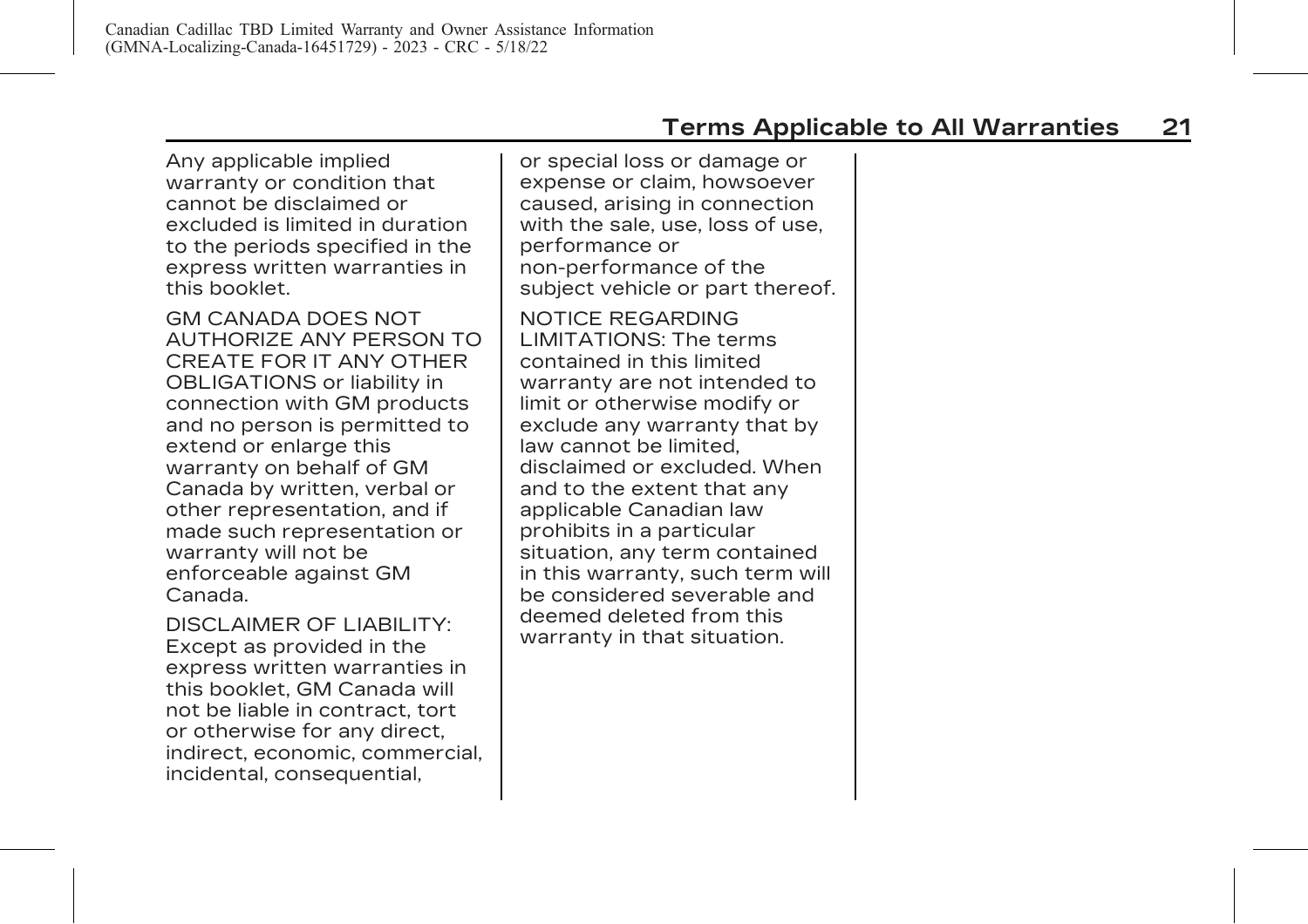Any applicable implied warranty or condition that cannot be disclaimed or excluded is limited in duration to the periods specified in the express written warranties in this booklet.

GM CANADA DOES NOT AUTHORIZE ANY PERSON TO CREATE FOR IT ANY OTHER OBLIGATIONS or liability in connection with GM products and no person is permitted to extend or enlarge this warranty on behalf of GM Canada by written, verbal or other representation, and if made such representation or warranty will not be enforceable against GM Canada.

DISCLAIMER OF LIABILITY: Except as provided in the express written warranties in this booklet, GM Canada will not be liable in contract, tort or otherwise for any direct, indirect, economic, commercial, incidental, consequential,

or special loss or damage or expense or claim, howsoever caused, arising in connection with the sale, use, loss of use, performance or non-performance of the subject vehicle or part thereof.

NOTICE REGARDING LIMITATIONS: The terms contained in this limited warranty are not intended to limit or otherwise modify or exclude any warranty that by law cannot be limited, disclaimed or excluded. When and to the extent that any applicable Canadian law prohibits in a particular situation, any term contained in this warranty, such term will be considered severable and deemed deleted from this warranty in that situation.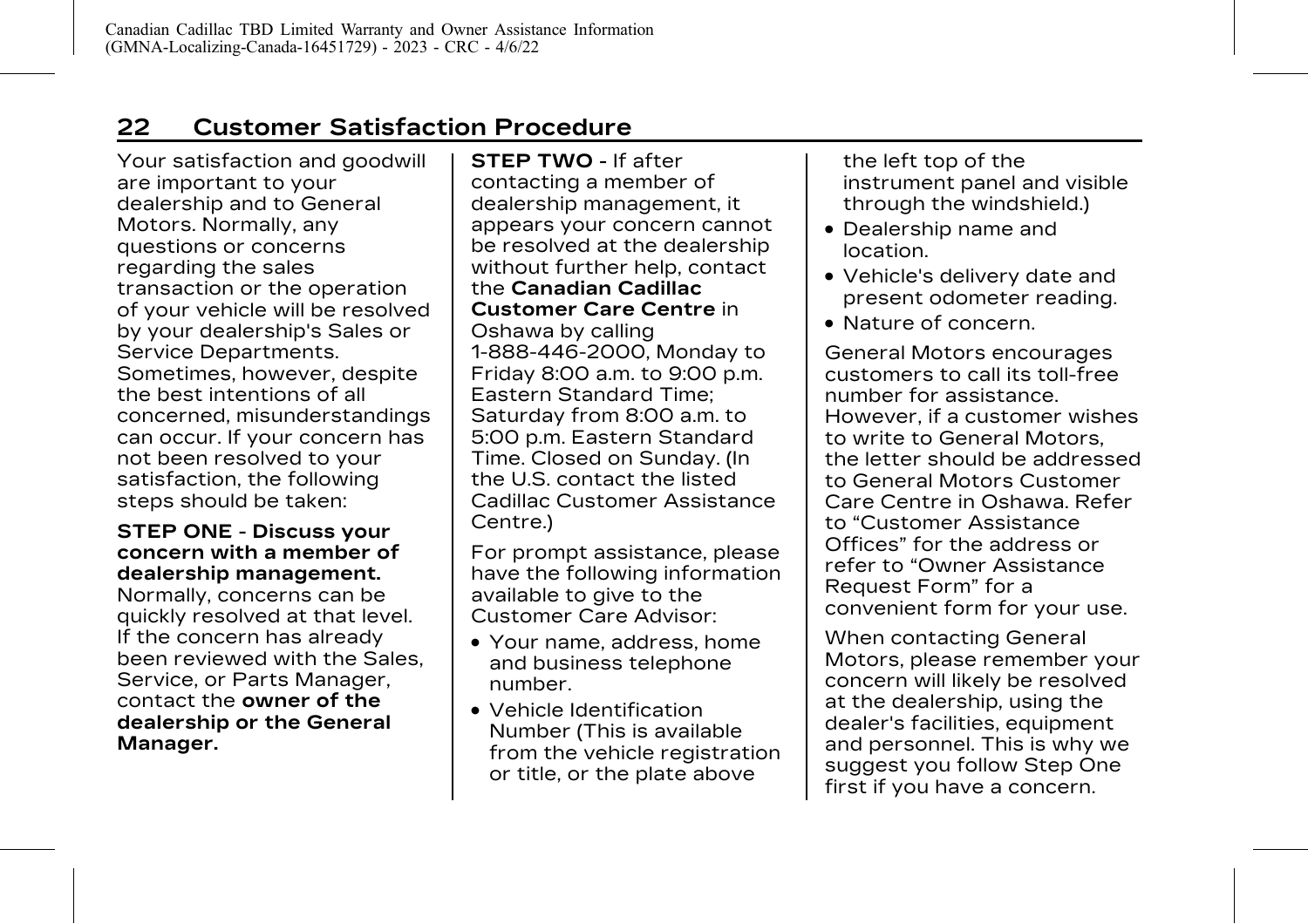# <span id="page-26-0"></span>**22 Customer Satisfaction Procedure**

Your satisfaction and goodwill are important to your dealership and to General Motors. Normally, any questions or concerns regarding the sales transaction or the operation of your vehicle will be resolved by your dealership's Sales or Service Departments. Sometimes, however, despite the best intentions of all concerned, misunderstandings can occur. If your concern has not been resolved to your satisfaction, the following steps should be taken:

#### **STEP ONE - Discuss your concern with a member of dealership management.**

Normally, concerns can be quickly resolved at that level. If the concern has already been reviewed with the Sales, Service, or Parts Manager, contact the **owner of the dealership or the General Manager.**

**STEP TWO -** If after contacting a member of dealership management, it appears your concern cannot be resolved at the dealership without further help, contact the **Canadian Cadillac Customer Care Centre** in Oshawa by calling 1-888-446-2000, Monday to Friday 8:00 a.m. to 9:00 p.m. Eastern Standard Time; Saturday from 8:00 a.m. to 5:00 p.m. Eastern Standard Time. Closed on Sunday. (In the U.S. contact the listed Cadillac Customer Assistance Centre.)

For prompt assistance, please have the following information available to give to the Customer Care Advisor:

- . Your name, address, home and business telephone number.
- . Vehicle Identification Number (This is available from the vehicle registration or title, or the plate above

the left top of the instrument panel and visible through the windshield.)

- . Dealership name and location.
- . Vehicle's delivery date and present odometer reading.
- . Nature of concern.

General Motors encourages customers to call its toll-free number for assistance. However, if a customer wishes to write to General Motors, the letter should be addressed to General Motors Customer Care Centre in Oshawa. Refer to "Customer Assistance Offices" for the address or refer to "Owner Assistance Request Form" for a convenient form for your use.

When contacting General Motors, please remember your concern will likely be resolved at the dealership, using the dealer's facilities, equipment and personnel. This is why we suggest you follow Step One first if you have a concern.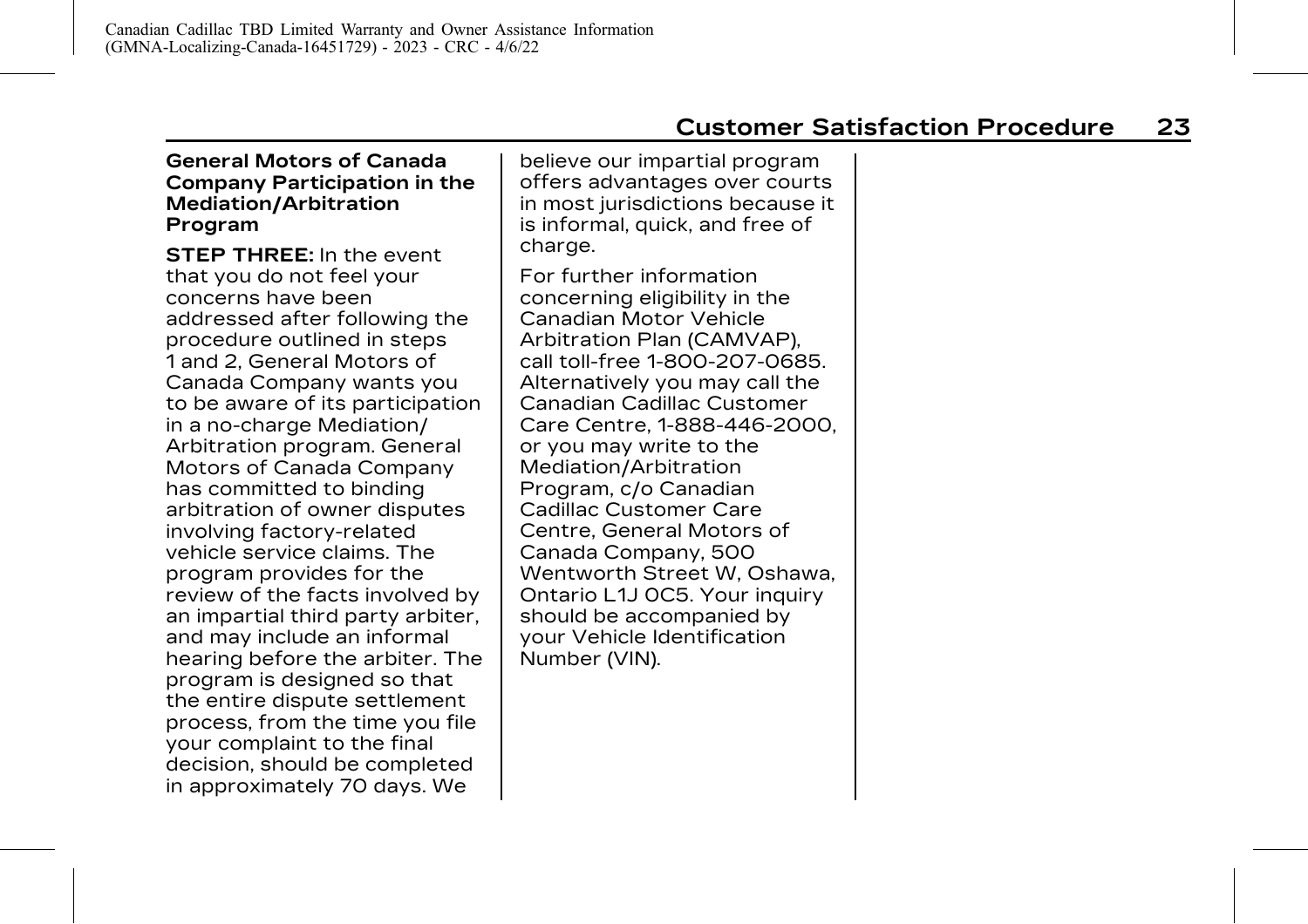**General Motors of Canada Company Participation in the Mediation/Arbitration Program**

**STEP THREE:** In the event that you do not feel your concerns have been addressed after following the procedure outlined in steps 1 and 2, General Motors of Canada Company wants you to be aware of its participation in a no-charge Mediation/ Arbitration program. General Motors of Canada Company has committed to binding arbitration of owner disputes involving factory-related vehicle service claims. The program provides for the review of the facts involved by an impartial third party arbiter, and may include an informal hearing before the arbiter. The program is designed so that the entire dispute settlement process, from the time you file your complaint to the final decision, should be completed in approximately 70 days. We

believe our impartial program offers advantages over courts in most jurisdictions because it is informal, quick, and free of charge.

For further information concerning eligibility in the Canadian Motor Vehicle Arbitration Plan (CAMVAP), call toll-free 1-800-207-0685. Alternatively you may call the Canadian Cadillac Customer Care Centre, 1-888-446-2000, or you may write to the Mediation/Arbitration Program, c/o Canadian Cadillac Customer Care Centre, General Motors of Canada Company, 500 Wentworth Street W, Oshawa, Ontario L1J 0C5. Your inquiry should be accompanied by your Vehicle Identification Number (VIN).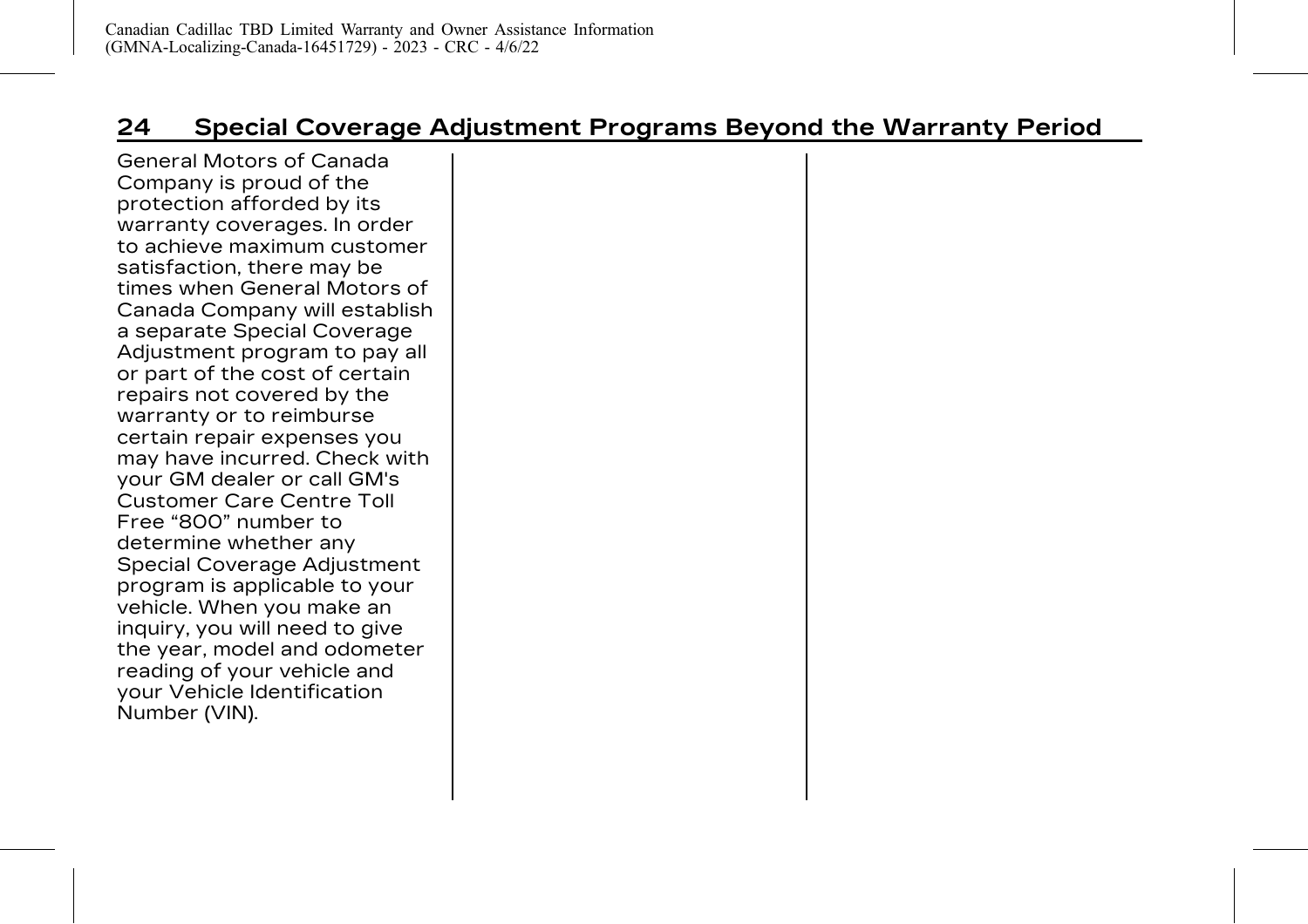# <span id="page-28-0"></span>**24 Special Coverage Adjustment Programs Beyond the Warranty Period**

General Motors of Canada Company is proud of the protection afforded by its warranty coverages. In order to achieve maximum customer satisfaction, there may be times when General Motors of Canada Company will establish a separate Special Coverage Adjustment program to pay all or part of the cost of certain repairs not covered by the warranty or to reimburse certain repair expenses you may have incurred. Check with your GM dealer or call GM's Customer Care Centre Toll Free "800" number to determine whether any Special Coverage Adjustment program is applicable to your vehicle. When you make an inquiry, you will need to give the year, model and odometer reading of your vehicle and your Vehicle Identification Number (VIN).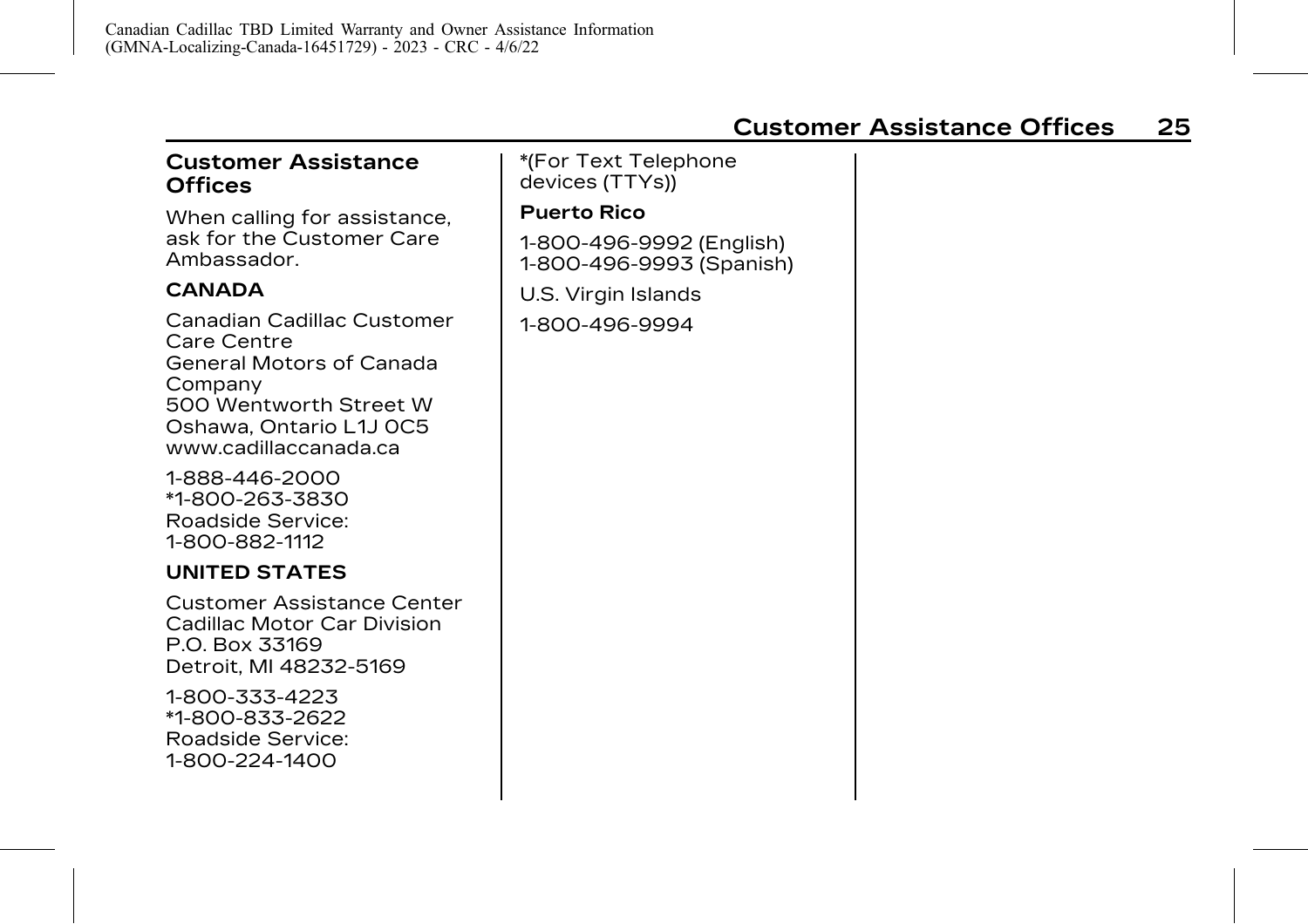# <span id="page-29-0"></span>**Customer Assistance Offices**

When calling for assistance, ask for the Customer Care Ambassador.

#### **CANADA**

Canadian Cadillac Customer Care Centre General Motors of Canada Company 500 Wentworth Street W Oshawa, Ontario L1J 0C5 www.cadillaccanada.ca

1-888-446-2000 \*1-800-263-3830 Roadside Service: 1-800-882-1112

#### **UNITED STATES**

Customer Assistance Center Cadillac Motor Car Division P.O. Box 33169 Detroit, MI 48232-5169

1-800-333-4223 \*1-800-833-2622 Roadside Service: 1-800-224-1400

\*(For Text Telephone devices (TTYs)) **Puerto Rico** 1-800-496-9992 (English) 1-800-496-9993 (Spanish) U.S. Virgin Islands 1-800-496-9994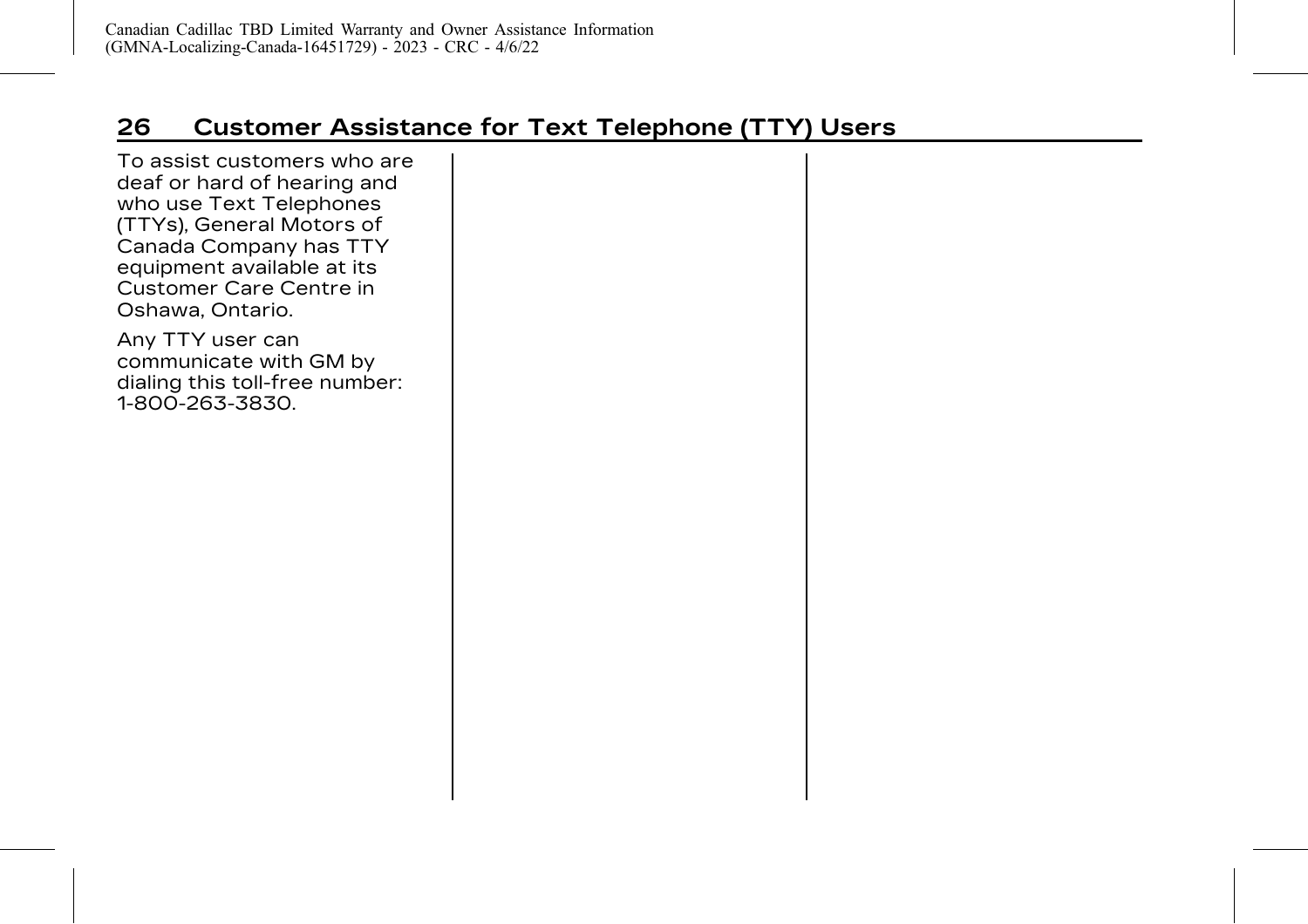# <span id="page-30-0"></span>**26 Customer Assistance for Text Telephone (TTY) Users**

To assist customers who are deaf or hard of hearing and who use Text Telephones (TTYs), General Motors of Canada Company has TTY equipment available at its Customer Care Centre in Oshawa, Ontario.

Any TTY user can communicate with GM by dialing this toll-free number: 1-800-263-3830.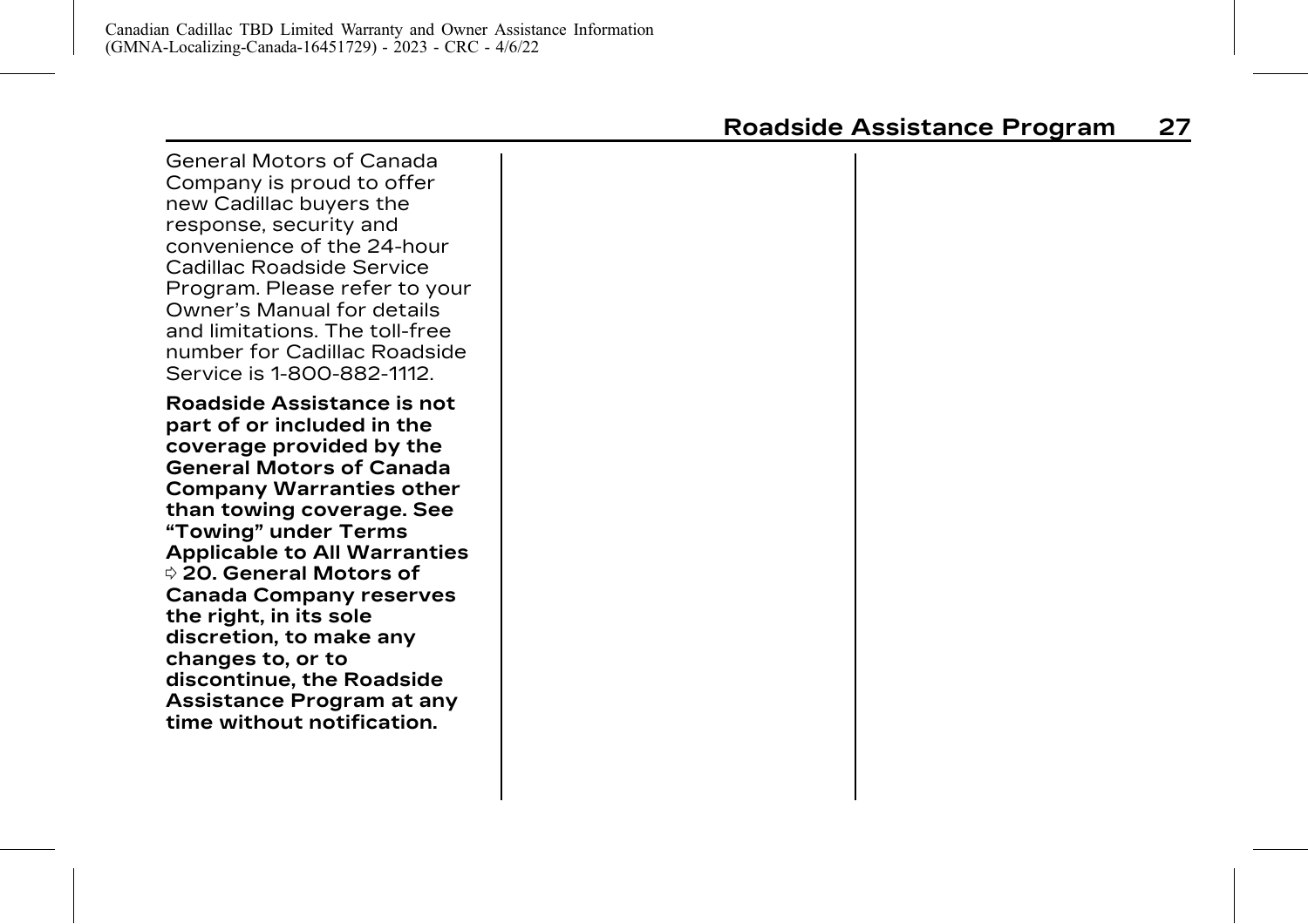<span id="page-31-0"></span>General Motors of Canada Company is proud to offer new Cadillac buyers the response, security and convenience of the 24-hour Cadillac Roadside Service Program. Please refer to your Owner's Manual for details and limitations. The toll-free number for Cadillac Roadside Service is 1-800-882-1112.

**Roadside Assistance is not part of or included in the coverage provided by the General Motors of Canada Company Warranties other than towing coverage. See "Towing" under [Terms](#page-24-0) [Applicable to All Warranties](#page-24-0)** 0 **[20.](#page-24-0) General Motors of Canada Company reserves the right, in its sole discretion, to make any changes to, or to discontinue, the Roadside Assistance Program at any time without notification.**